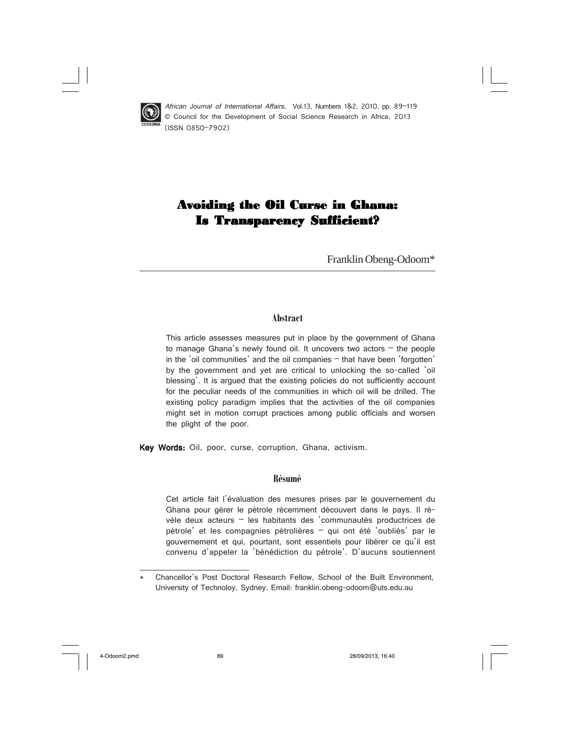

 African Journal of International Affairs, Vol.13, Numbers 1&2, 2010, pp. 89–119 © Council for the Development of Social Science Research in Africa, 2013 (ISSN 0850–7902)

# Avoiding the Oil Curse in Ghana: **Is Transparency Sufficient?**

Franklin Obeng-Odoom\*

### **Abstract**

This article assesses measures put in place by the government of Ghana to manage Ghana's newly found oil. It uncovers two actors  $-$  the people in the 'oil communities' and the oil companies – that have been 'forgotten' by the government and yet are critical to unlocking the so-called 'oil blessing'. It is argued that the existing policies do not sufficiently account for the peculiar needs of the communities in which oil will be drilled. The existing policy paradigm implies that the activities of the oil companies might set in motion corrupt practices among public officials and worsen the plight of the poor.

Key Words: Oil, poor, curse, corruption, Ghana, activism.

### **Résumé**

Cet article fait l'évaluation des mesures prises par le gouvernement du Ghana pour gérer le pétrole récemment découvert dans le pays. Il révèle deux acteurs – les habitants des 'communautés productrices de pétrole' et les compagnies pétrolières – qui ont été 'oubliés' par le gouvernement et qui, pourtant, sont essentiels pour libérer ce qu'il est convenu d'appeler la 'bénédiction du pétrole'. D'aucuns soutiennent

Chancellor's Post Doctoral Research Fellow, School of the Built Environment, University of Technoloy, Sydney. Email: franklin.obeng-odoom@uts.edu.au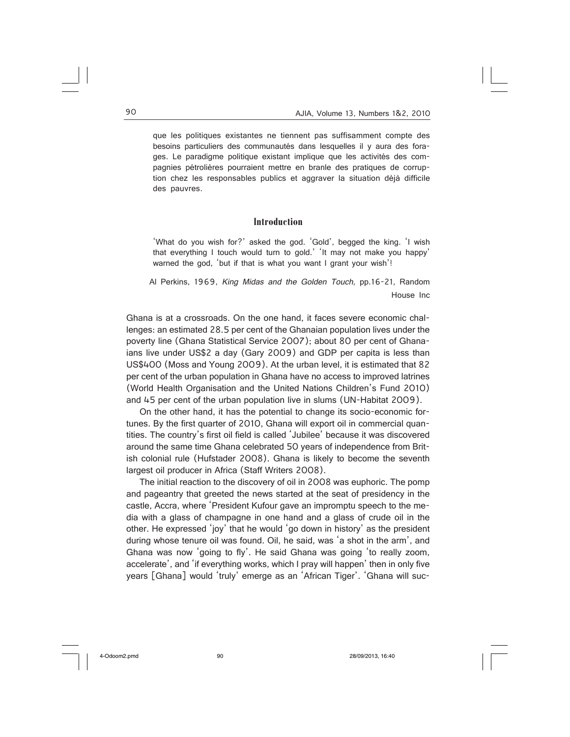que les politiques existantes ne tiennent pas suffisamment compte des besoins particuliers des communautés dans lesquelles il y aura des forages. Le paradigme politique existant implique que les activités des compagnies pétrolières pourraient mettre en branle des pratiques de corruption chez les responsables publics et aggraver la situation déjà difficile des pauvres.

### **Introduction**

'What do you wish for?' asked the god. 'Gold', begged the king. 'I wish that everything I touch would turn to gold.' 'It may not make you happy' warned the god, 'but if that is what you want I grant your wish'!

Al Perkins, 1969, King Midas and the Golden Touch, pp.16-21, Random House Inc

Ghana is at a crossroads. On the one hand, it faces severe economic challenges: an estimated 28.5 per cent of the Ghanaian population lives under the poverty line (Ghana Statistical Service 2007); about 80 per cent of Ghanaians live under US\$2 a day (Gary 2009) and GDP per capita is less than US\$400 (Moss and Young 2009). At the urban level, it is estimated that 82 per cent of the urban population in Ghana have no access to improved latrines (World Health Organisation and the United Nations Children's Fund 2010) and 45 per cent of the urban population live in slums (UN-Habitat 2009).

On the other hand, it has the potential to change its socio-economic fortunes. By the first quarter of 2010, Ghana will export oil in commercial quantities. The country's first oil field is called 'Jubilee' because it was discovered around the same time Ghana celebrated 50 years of independence from British colonial rule (Hufstader 2008). Ghana is likely to become the seventh largest oil producer in Africa (Staff Writers 2008).

The initial reaction to the discovery of oil in 2008 was euphoric. The pomp and pageantry that greeted the news started at the seat of presidency in the castle, Accra, where 'President Kufour gave an impromptu speech to the media with a glass of champagne in one hand and a glass of crude oil in the other. He expressed 'joy' that he would 'go down in history' as the president during whose tenure oil was found. Oil, he said, was 'a shot in the arm', and Ghana was now 'going to fly'. He said Ghana was going 'to really zoom, accelerate', and 'if everything works, which I pray will happen' then in only five years [Ghana] would 'truly' emerge as an 'African Tiger'. 'Ghana will suc-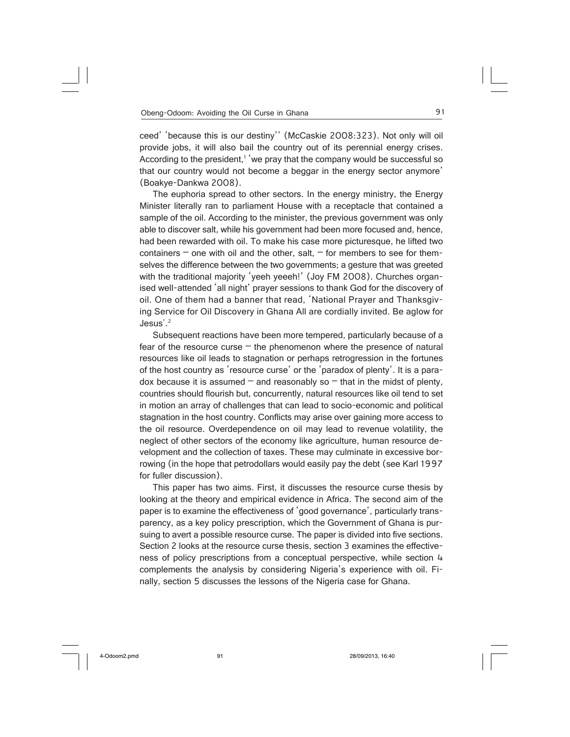ceed' 'because this is our destiny'' (McCaskie 2008:323). Not only will oil provide jobs, it will also bail the country out of its perennial energy crises. According to the president,<sup>1</sup> 'we pray that the company would be successful so that our country would not become a beggar in the energy sector anymore' (Boakye-Dankwa 2008).

The euphoria spread to other sectors. In the energy ministry, the Energy Minister literally ran to parliament House with a receptacle that contained a sample of the oil. According to the minister, the previous government was only able to discover salt, while his government had been more focused and, hence, had been rewarded with oil. To make his case more picturesque, he lifted two containers  $-$  one with oil and the other, salt,  $-$  for members to see for themselves the difference between the two governments; a gesture that was greeted with the traditional majority 'yeeh yeeeh!' (Joy FM 2008). Churches organised well-attended 'all night' prayer sessions to thank God for the discovery of oil. One of them had a banner that read, 'National Prayer and Thanksgiving Service for Oil Discovery in Ghana All are cordially invited. Be aglow for Jesus'.<sup>2</sup>

Subsequent reactions have been more tempered, particularly because of a fear of the resource curse  $-$  the phenomenon where the presence of natural resources like oil leads to stagnation or perhaps retrogression in the fortunes of the host country as 'resource curse' or the 'paradox of plenty'. It is a paradox because it is assumed  $-$  and reasonably so  $-$  that in the midst of plenty, countries should flourish but, concurrently, natural resources like oil tend to set in motion an array of challenges that can lead to socio-economic and political stagnation in the host country. Conflicts may arise over gaining more access to the oil resource. Overdependence on oil may lead to revenue volatility, the neglect of other sectors of the economy like agriculture, human resource development and the collection of taxes. These may culminate in excessive borrowing (in the hope that petrodollars would easily pay the debt (see Karl 1997 for fuller discussion).

This paper has two aims. First, it discusses the resource curse thesis by looking at the theory and empirical evidence in Africa. The second aim of the paper is to examine the effectiveness of 'good governance', particularly transparency, as a key policy prescription, which the Government of Ghana is pursuing to avert a possible resource curse. The paper is divided into five sections. Section 2 looks at the resource curse thesis, section 3 examines the effectiveness of policy prescriptions from a conceptual perspective, while section 4 complements the analysis by considering Nigeria's experience with oil. Finally, section 5 discusses the lessons of the Nigeria case for Ghana.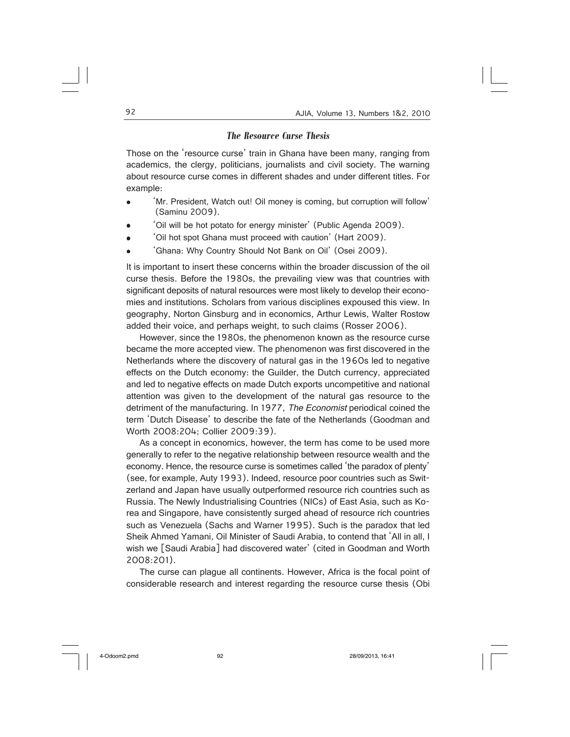### *The Resource Curse Thesis*

Those on the 'resource curse' train in Ghana have been many, ranging from academics, the clergy, politicians, journalists and civil society. The warning about resource curse comes in different shades and under different titles. For example:

- 'Mr. President, Watch out! Oil money is coming, but corruption will follow' (Saminu 2009).
- 'Oil will be hot potato for energy minister' (Public Agenda 2009).
- 'Oil hot spot Ghana must proceed with caution' (Hart 2009).
- 'Ghana: Why Country Should Not Bank on Oil' (Osei 2009).

It is important to insert these concerns within the broader discussion of the oil curse thesis. Before the 1980s, the prevailing view was that countries with significant deposits of natural resources were most likely to develop their economies and institutions. Scholars from various disciplines expoused this view. In geography, Norton Ginsburg and in economics, Arthur Lewis, Walter Rostow added their voice, and perhaps weight, to such claims (Rosser 2006).

However, since the 1980s, the phenomenon known as the resource curse became the more accepted view. The phenomenon was first discovered in the Netherlands where the discovery of natural gas in the 1960s led to negative effects on the Dutch economy: the Guilder, the Dutch currency, appreciated and led to negative effects on made Dutch exports uncompetitive and national attention was given to the development of the natural gas resource to the detriment of the manufacturing. In 1977, The Economist periodical coined the term 'Dutch Disease' to describe the fate of the Netherlands (Goodman and Worth 2008:204; Collier 2009:39).

As a concept in economics, however, the term has come to be used more generally to refer to the negative relationship between resource wealth and the economy. Hence, the resource curse is sometimes called 'the paradox of plenty' (see, for example, Auty 1993). Indeed, resource poor countries such as Switzerland and Japan have usually outperformed resource rich countries such as Russia. The Newly Industrialising Countries (NICs) of East Asia, such as Korea and Singapore, have consistently surged ahead of resource rich countries such as Venezuela (Sachs and Warner 1995). Such is the paradox that led Sheik Ahmed Yamani, Oil Minister of Saudi Arabia, to contend that 'All in all, I wish we [Saudi Arabia] had discovered water' (cited in Goodman and Worth 2008:201).

The curse can plague all continents. However, Africa is the focal point of considerable research and interest regarding the resource curse thesis (Obi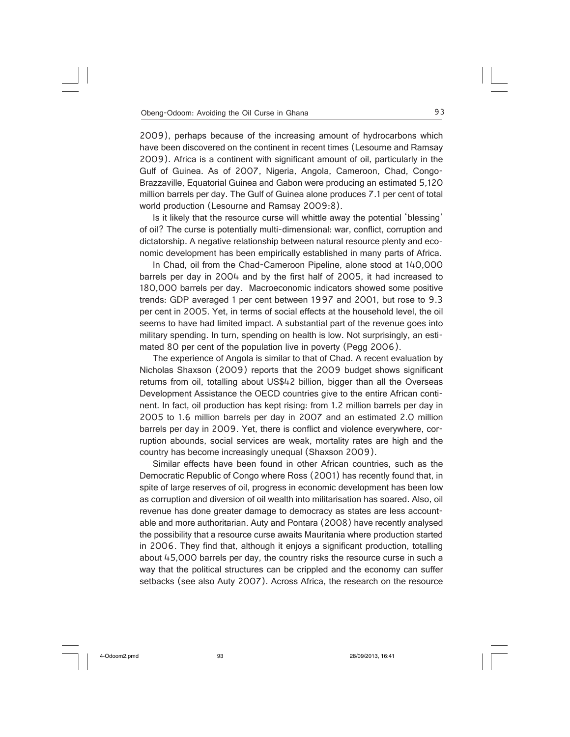2009), perhaps because of the increasing amount of hydrocarbons which have been discovered on the continent in recent times (Lesourne and Ramsay 2009). Africa is a continent with significant amount of oil, particularly in the Gulf of Guinea. As of 2007, Nigeria, Angola, Cameroon, Chad, Congo-Brazzaville, Equatorial Guinea and Gabon were producing an estimated 5,120 million barrels per day. The Gulf of Guinea alone produces 7.1 per cent of total world production (Lesourne and Ramsay 2009:8).

Is it likely that the resource curse will whittle away the potential 'blessing' of oil? The curse is potentially multi-dimensional: war, conflict, corruption and dictatorship. A negative relationship between natural resource plenty and economic development has been empirically established in many parts of Africa.

In Chad, oil from the Chad-Cameroon Pipeline, alone stood at 140,000 barrels per day in 2004 and by the first half of 2005, it had increased to 180,000 barrels per day. Macroeconomic indicators showed some positive trends: GDP averaged 1 per cent between 1997 and 2001, but rose to 9.3 per cent in 2005. Yet, in terms of social effects at the household level, the oil seems to have had limited impact. A substantial part of the revenue goes into military spending. In turn, spending on health is low. Not surprisingly, an estimated 80 per cent of the population live in poverty (Pegg 2006).

The experience of Angola is similar to that of Chad. A recent evaluation by Nicholas Shaxson (2009) reports that the 2009 budget shows significant returns from oil, totalling about US\$42 billion, bigger than all the Overseas Development Assistance the OECD countries give to the entire African continent. In fact, oil production has kept rising: from 1.2 million barrels per day in 2005 to 1.6 million barrels per day in 2007 and an estimated 2.0 million barrels per day in 2009. Yet, there is conflict and violence everywhere, corruption abounds, social services are weak, mortality rates are high and the country has become increasingly unequal (Shaxson 2009).

Similar effects have been found in other African countries, such as the Democratic Republic of Congo where Ross (2001) has recently found that, in spite of large reserves of oil, progress in economic development has been low as corruption and diversion of oil wealth into militarisation has soared. Also, oil revenue has done greater damage to democracy as states are less accountable and more authoritarian. Auty and Pontara (2008) have recently analysed the possibility that a resource curse awaits Mauritania where production started in 2006. They find that, although it enjoys a significant production, totalling about 45,000 barrels per day, the country risks the resource curse in such a way that the political structures can be crippled and the economy can suffer setbacks (see also Auty 2007). Across Africa, the research on the resource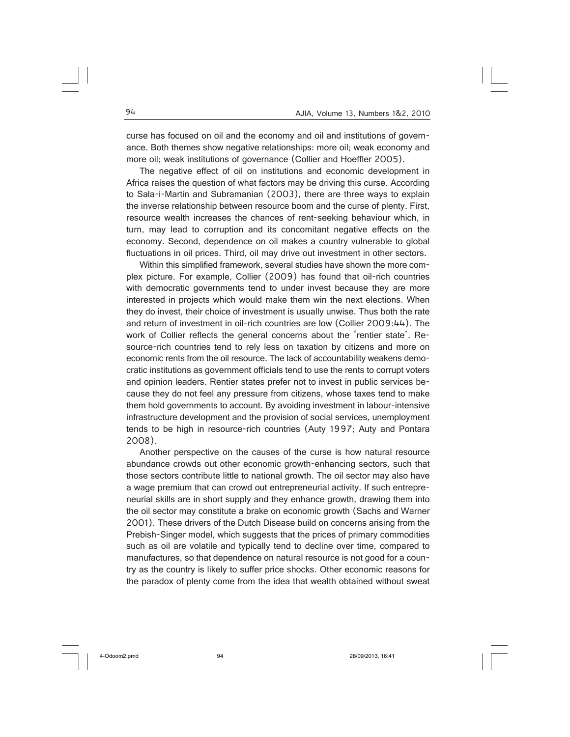curse has focused on oil and the economy and oil and institutions of governance. Both themes show negative relationships: more oil; weak economy and more oil; weak institutions of governance (Collier and Hoeffler 2005).

The negative effect of oil on institutions and economic development in Africa raises the question of what factors may be driving this curse. According to Sala-i-Martin and Subramanian (2003), there are three ways to explain the inverse relationship between resource boom and the curse of plenty. First, resource wealth increases the chances of rent-seeking behaviour which, in turn, may lead to corruption and its concomitant negative effects on the economy. Second, dependence on oil makes a country vulnerable to global fluctuations in oil prices. Third, oil may drive out investment in other sectors.

Within this simplified framework, several studies have shown the more complex picture. For example, Collier (2009) has found that oil-rich countries with democratic governments tend to under invest because they are more interested in projects which would make them win the next elections. When they do invest, their choice of investment is usually unwise. Thus both the rate and return of investment in oil-rich countries are low (Collier 2009:44). The work of Collier reflects the general concerns about the 'rentier state'. Resource-rich countries tend to rely less on taxation by citizens and more on economic rents from the oil resource. The lack of accountability weakens democratic institutions as government officials tend to use the rents to corrupt voters and opinion leaders. Rentier states prefer not to invest in public services because they do not feel any pressure from citizens, whose taxes tend to make them hold governments to account. By avoiding investment in labour-intensive infrastructure development and the provision of social services, unemployment tends to be high in resource-rich countries (Auty 1997; Auty and Pontara 2008).

Another perspective on the causes of the curse is how natural resource abundance crowds out other economic growth-enhancing sectors, such that those sectors contribute little to national growth. The oil sector may also have a wage premium that can crowd out entrepreneurial activity. If such entrepreneurial skills are in short supply and they enhance growth, drawing them into the oil sector may constitute a brake on economic growth (Sachs and Warner 2001). These drivers of the Dutch Disease build on concerns arising from the Prebish-Singer model, which suggests that the prices of primary commodities such as oil are volatile and typically tend to decline over time, compared to manufactures, so that dependence on natural resource is not good for a country as the country is likely to suffer price shocks. Other economic reasons for the paradox of plenty come from the idea that wealth obtained without sweat

4-Odoom2.pmd 94 28/09/2013, 16:41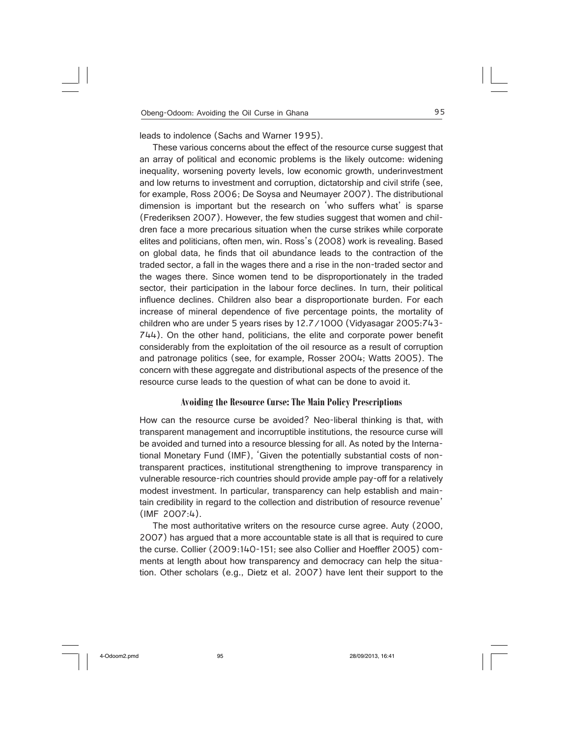leads to indolence (Sachs and Warner 1995).

These various concerns about the effect of the resource curse suggest that an array of political and economic problems is the likely outcome: widening inequality, worsening poverty levels, low economic growth, underinvestment and low returns to investment and corruption, dictatorship and civil strife (see, for example, Ross 2006; De Soysa and Neumayer 2007). The distributional dimension is important but the research on 'who suffers what' is sparse (Frederiksen 2007). However, the few studies suggest that women and children face a more precarious situation when the curse strikes while corporate elites and politicians, often men, win. Ross's (2008) work is revealing. Based on global data, he finds that oil abundance leads to the contraction of the traded sector, a fall in the wages there and a rise in the non-traded sector and the wages there. Since women tend to be disproportionately in the traded sector, their participation in the labour force declines. In turn, their political influence declines. Children also bear a disproportionate burden. For each increase of mineral dependence of five percentage points, the mortality of children who are under 5 years rises by 12.7/1000 (Vidyasagar 2005:743- 744). On the other hand, politicians, the elite and corporate power benefit considerably from the exploitation of the oil resource as a result of corruption and patronage politics (see, for example, Rosser 2004; Watts 2005). The concern with these aggregate and distributional aspects of the presence of the resource curse leads to the question of what can be done to avoid it.

### **Avoiding the Resource Curse: The Main Policy Prescriptions**

How can the resource curse be avoided? Neo-liberal thinking is that, with transparent management and incorruptible institutions, the resource curse will be avoided and turned into a resource blessing for all. As noted by the International Monetary Fund (IMF), 'Given the potentially substantial costs of nontransparent practices, institutional strengthening to improve transparency in vulnerable resource-rich countries should provide ample pay-off for a relatively modest investment. In particular, transparency can help establish and maintain credibility in regard to the collection and distribution of resource revenue' (IMF 2007:4).

The most authoritative writers on the resource curse agree. Auty (2000, 2007) has argued that a more accountable state is all that is required to cure the curse. Collier (2009:140-151; see also Collier and Hoeffler 2005) comments at length about how transparency and democracy can help the situation. Other scholars (e.g., Dietz et al. 2007) have lent their support to the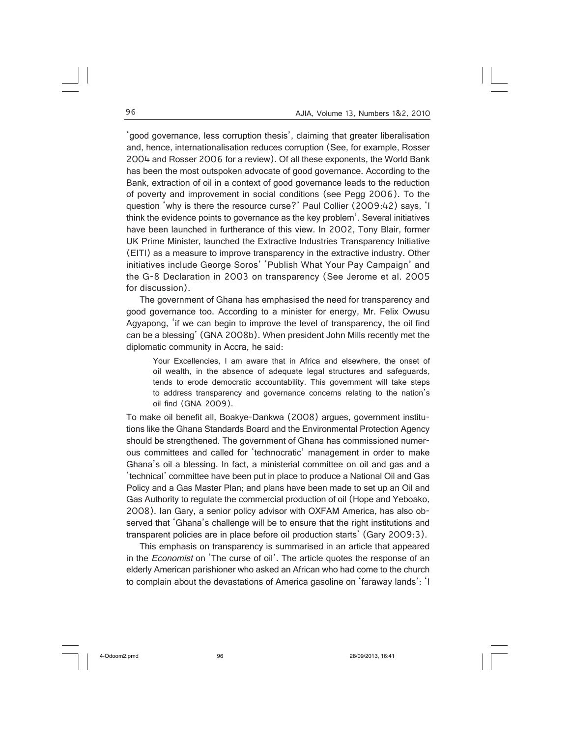'good governance, less corruption thesis', claiming that greater liberalisation and, hence, internationalisation reduces corruption (See, for example, Rosser 2004 and Rosser 2006 for a review). Of all these exponents, the World Bank has been the most outspoken advocate of good governance. According to the Bank, extraction of oil in a context of good governance leads to the reduction of poverty and improvement in social conditions (see Pegg 2006). To the question 'why is there the resource curse?' Paul Collier (2009:42) says, 'I think the evidence points to governance as the key problem'. Several initiatives have been launched in furtherance of this view. In 2002, Tony Blair, former UK Prime Minister, launched the Extractive Industries Transparency Initiative (EITI) as a measure to improve transparency in the extractive industry. Other initiatives include George Soros' 'Publish What Your Pay Campaign' and the G-8 Declaration in 2003 on transparency (See Jerome et al. 2005 for discussion).

The government of Ghana has emphasised the need for transparency and good governance too. According to a minister for energy, Mr. Felix Owusu Agyapong, 'if we can begin to improve the level of transparency, the oil find can be a blessing' (GNA 2008b). When president John Mills recently met the diplomatic community in Accra, he said:

Your Excellencies, I am aware that in Africa and elsewhere, the onset of oil wealth, in the absence of adequate legal structures and safeguards, tends to erode democratic accountability. This government will take steps to address transparency and governance concerns relating to the nation's oil find (GNA 2009).

To make oil benefit all, Boakye-Dankwa (2008) argues, government institutions like the Ghana Standards Board and the Environmental Protection Agency should be strengthened. The government of Ghana has commissioned numerous committees and called for 'technocratic' management in order to make Ghana's oil a blessing. In fact, a ministerial committee on oil and gas and a 'technical' committee have been put in place to produce a National Oil and Gas Policy and a Gas Master Plan; and plans have been made to set up an Oil and Gas Authority to regulate the commercial production of oil (Hope and Yeboako, 2008). Ian Gary, a senior policy advisor with OXFAM America, has also observed that 'Ghana's challenge will be to ensure that the right institutions and transparent policies are in place before oil production starts' (Gary 2009:3).

This emphasis on transparency is summarised in an article that appeared in the Economist on 'The curse of oil'. The article quotes the response of an elderly American parishioner who asked an African who had come to the church to complain about the devastations of America gasoline on 'faraway lands': 'I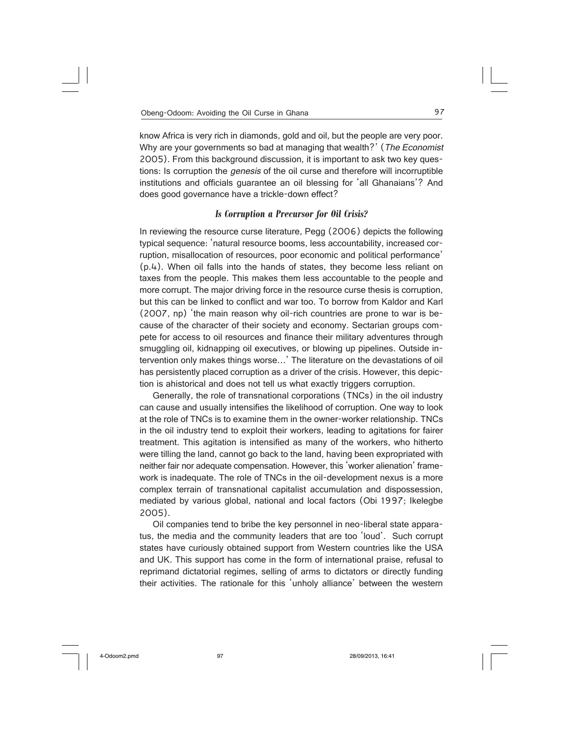know Africa is very rich in diamonds, gold and oil, but the people are very poor. Why are your governments so bad at managing that wealth?' (The Economist 2005). From this background discussion, it is important to ask two key questions: Is corruption the *genesis* of the oil curse and therefore will incorruptible institutions and officials guarantee an oil blessing for 'all Ghanaians'? And does good governance have a trickle-down effect?

### *Is Corruption a Precursor for Oil Crisis?*

In reviewing the resource curse literature, Pegg (2006) depicts the following typical sequence: 'natural resource booms, less accountability, increased corruption, misallocation of resources, poor economic and political performance' (p.4). When oil falls into the hands of states, they become less reliant on taxes from the people. This makes them less accountable to the people and more corrupt. The major driving force in the resource curse thesis is corruption, but this can be linked to conflict and war too. To borrow from Kaldor and Karl (2007, np) 'the main reason why oil-rich countries are prone to war is because of the character of their society and economy. Sectarian groups compete for access to oil resources and finance their military adventures through smuggling oil, kidnapping oil executives, or blowing up pipelines. Outside intervention only makes things worse…' The literature on the devastations of oil has persistently placed corruption as a driver of the crisis. However, this depiction is ahistorical and does not tell us what exactly triggers corruption.

Generally, the role of transnational corporations (TNCs) in the oil industry can cause and usually intensifies the likelihood of corruption. One way to look at the role of TNCs is to examine them in the owner-worker relationship. TNCs in the oil industry tend to exploit their workers, leading to agitations for fairer treatment. This agitation is intensified as many of the workers, who hitherto were tilling the land, cannot go back to the land, having been expropriated with neither fair nor adequate compensation. However, this 'worker alienation' framework is inadequate. The role of TNCs in the oil-development nexus is a more complex terrain of transnational capitalist accumulation and dispossession, mediated by various global, national and local factors (Obi 1997; Ikelegbe 2005).

Oil companies tend to bribe the key personnel in neo-liberal state apparatus, the media and the community leaders that are too 'loud'. Such corrupt states have curiously obtained support from Western countries like the USA and UK. This support has come in the form of international praise, refusal to reprimand dictatorial regimes, selling of arms to dictators or directly funding their activities. The rationale for this 'unholy alliance' between the western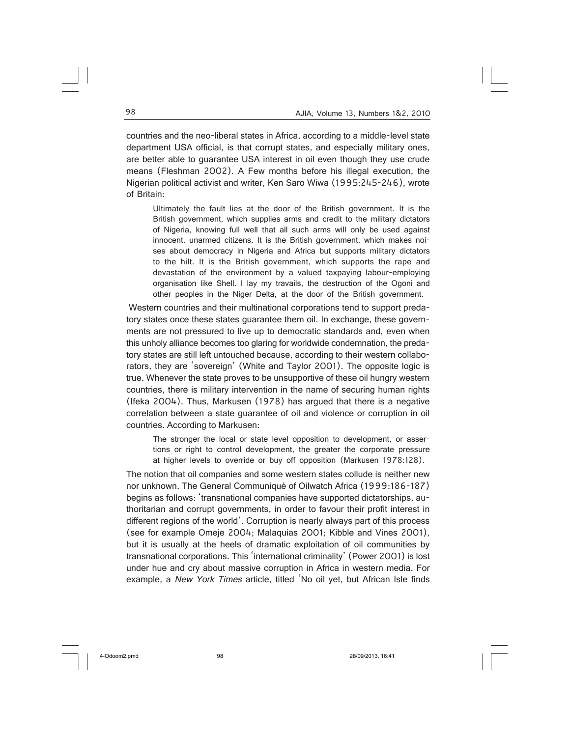countries and the neo-liberal states in Africa, according to a middle-level state department USA official, is that corrupt states, and especially military ones, are better able to guarantee USA interest in oil even though they use crude means (Fleshman 2002). A Few months before his illegal execution, the Nigerian political activist and writer, Ken Saro Wiwa (1995:245-246), wrote of Britain:

Ultimately the fault lies at the door of the British government. It is the British government, which supplies arms and credit to the military dictators of Nigeria, knowing full well that all such arms will only be used against innocent, unarmed citizens. It is the British government, which makes noises about democracy in Nigeria and Africa but supports military dictators to the hilt. It is the British government, which supports the rape and devastation of the environment by a valued taxpaying labour-employing organisation like Shell. I lay my travails, the destruction of the Ogoni and other peoples in the Niger Delta, at the door of the British government.

 Western countries and their multinational corporations tend to support predatory states once these states guarantee them oil. In exchange, these governments are not pressured to live up to democratic standards and, even when this unholy alliance becomes too glaring for worldwide condemnation, the predatory states are still left untouched because, according to their western collaborators, they are 'sovereign' (White and Taylor 2001). The opposite logic is true. Whenever the state proves to be unsupportive of these oil hungry western countries, there is military intervention in the name of securing human rights (Ifeka 2004). Thus, Markusen (1978) has argued that there is a negative correlation between a state guarantee of oil and violence or corruption in oil countries. According to Markusen:

The stronger the local or state level opposition to development, or assertions or right to control development, the greater the corporate pressure at higher levels to override or buy off opposition (Markusen 1978:128).

The notion that oil companies and some western states collude is neither new nor unknown. The General Communiqué of Oilwatch Africa (1999:186-187) begins as follows: 'transnational companies have supported dictatorships, authoritarian and corrupt governments, in order to favour their profit interest in different regions of the world'. Corruption is nearly always part of this process (see for example Omeje 2004; Malaquias 2001; Kibble and Vines 2001), but it is usually at the heels of dramatic exploitation of oil communities by transnational corporations. This 'international criminality' (Power 2001) is lost under hue and cry about massive corruption in Africa in western media. For example, a New York Times article, titled 'No oil yet, but African Isle finds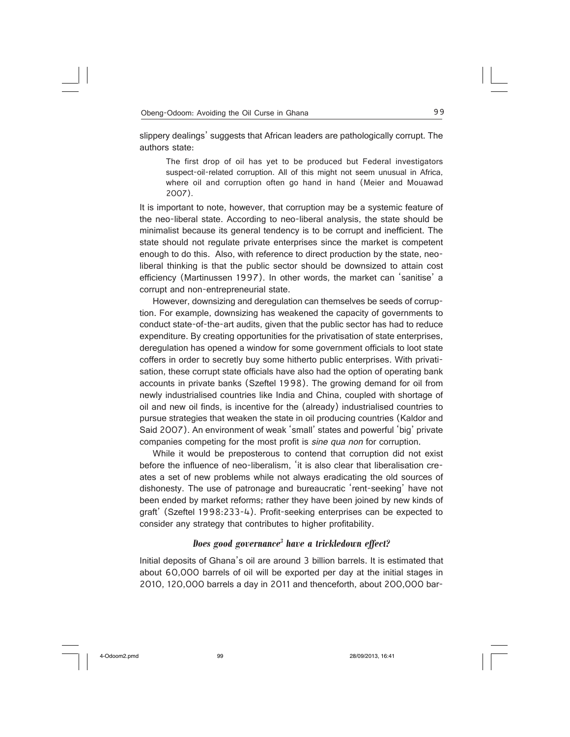slippery dealings' suggests that African leaders are pathologically corrupt. The authors state:

The first drop of oil has yet to be produced but Federal investigators suspect-oil-related corruption. All of this might not seem unusual in Africa, where oil and corruption often go hand in hand (Meier and Mouawad 2007).

It is important to note, however, that corruption may be a systemic feature of the neo-liberal state. According to neo-liberal analysis, the state should be minimalist because its general tendency is to be corrupt and inefficient. The state should not regulate private enterprises since the market is competent enough to do this. Also, with reference to direct production by the state, neoliberal thinking is that the public sector should be downsized to attain cost efficiency (Martinussen 1997). In other words, the market can 'sanitise' a corrupt and non-entrepreneurial state.

However, downsizing and deregulation can themselves be seeds of corruption. For example, downsizing has weakened the capacity of governments to conduct state-of-the-art audits, given that the public sector has had to reduce expenditure. By creating opportunities for the privatisation of state enterprises, deregulation has opened a window for some government officials to loot state coffers in order to secretly buy some hitherto public enterprises. With privatisation, these corrupt state officials have also had the option of operating bank accounts in private banks (Szeftel 1998). The growing demand for oil from newly industrialised countries like India and China, coupled with shortage of oil and new oil finds, is incentive for the (already) industrialised countries to pursue strategies that weaken the state in oil producing countries (Kaldor and Said 2007). An environment of weak 'small' states and powerful 'big' private companies competing for the most profit is sine qua non for corruption.

While it would be preposterous to contend that corruption did not exist before the influence of neo-liberalism, 'it is also clear that liberalisation creates a set of new problems while not always eradicating the old sources of dishonesty. The use of patronage and bureaucratic 'rent-seeking' have not been ended by market reforms; rather they have been joined by new kinds of graft' (Szeftel 1998:233-4). Profit-seeking enterprises can be expected to consider any strategy that contributes to higher profitability.

## *Does good governance3 have a trickledown effect?*

Initial deposits of Ghana's oil are around 3 billion barrels. It is estimated that about 60,000 barrels of oil will be exported per day at the initial stages in 2010, 120,000 barrels a day in 2011 and thenceforth, about 200,000 bar-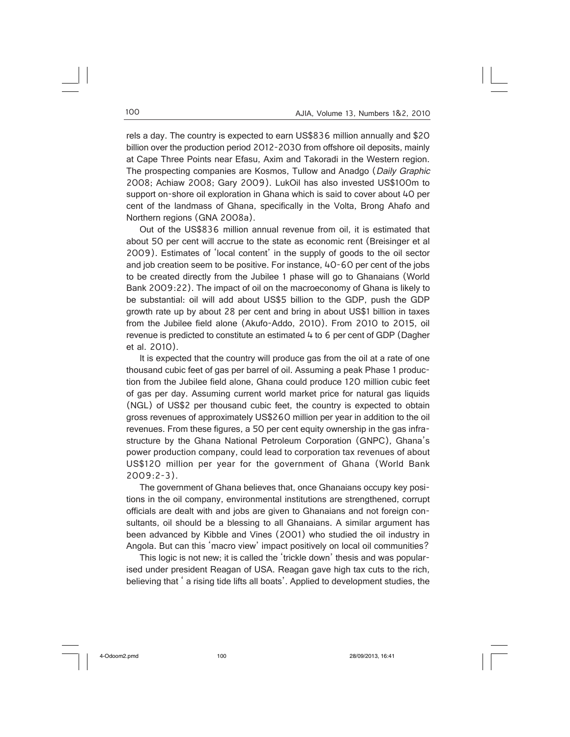rels a day. The country is expected to earn US\$836 million annually and \$20 billion over the production period 2012-2030 from offshore oil deposits, mainly at Cape Three Points near Efasu, Axim and Takoradi in the Western region. The prospecting companies are Kosmos, Tullow and Anadgo (Daily Graphic 2008; Achiaw 2008; Gary 2009). LukOil has also invested US\$100m to support on-shore oil exploration in Ghana which is said to cover about 40 per cent of the landmass of Ghana, specifically in the Volta, Brong Ahafo and Northern regions (GNA 2008a).

Out of the US\$836 million annual revenue from oil, it is estimated that about 50 per cent will accrue to the state as economic rent (Breisinger et al 2009). Estimates of 'local content' in the supply of goods to the oil sector and job creation seem to be positive. For instance, 40-60 per cent of the jobs to be created directly from the Jubilee 1 phase will go to Ghanaians (World Bank 2009:22). The impact of oil on the macroeconomy of Ghana is likely to be substantial: oil will add about US\$5 billion to the GDP, push the GDP growth rate up by about 28 per cent and bring in about US\$1 billion in taxes from the Jubilee field alone (Akufo-Addo, 2010). From 2010 to 2015, oil revenue is predicted to constitute an estimated 4 to 6 per cent of GDP (Dagher et al. 2010).

It is expected that the country will produce gas from the oil at a rate of one thousand cubic feet of gas per barrel of oil. Assuming a peak Phase 1 production from the Jubilee field alone, Ghana could produce 120 million cubic feet of gas per day. Assuming current world market price for natural gas liquids (NGL) of US\$2 per thousand cubic feet, the country is expected to obtain gross revenues of approximately US\$260 million per year in addition to the oil revenues. From these figures, a 50 per cent equity ownership in the gas infrastructure by the Ghana National Petroleum Corporation (GNPC), Ghana's power production company, could lead to corporation tax revenues of about US\$120 million per year for the government of Ghana (World Bank 2009:2-3).

The government of Ghana believes that, once Ghanaians occupy key positions in the oil company, environmental institutions are strengthened, corrupt officials are dealt with and jobs are given to Ghanaians and not foreign consultants, oil should be a blessing to all Ghanaians. A similar argument has been advanced by Kibble and Vines (2001) who studied the oil industry in Angola. But can this 'macro view' impact positively on local oil communities?

This logic is not new; it is called the 'trickle down' thesis and was popularised under president Reagan of USA. Reagan gave high tax cuts to the rich, believing that ' a rising tide lifts all boats'. Applied to development studies, the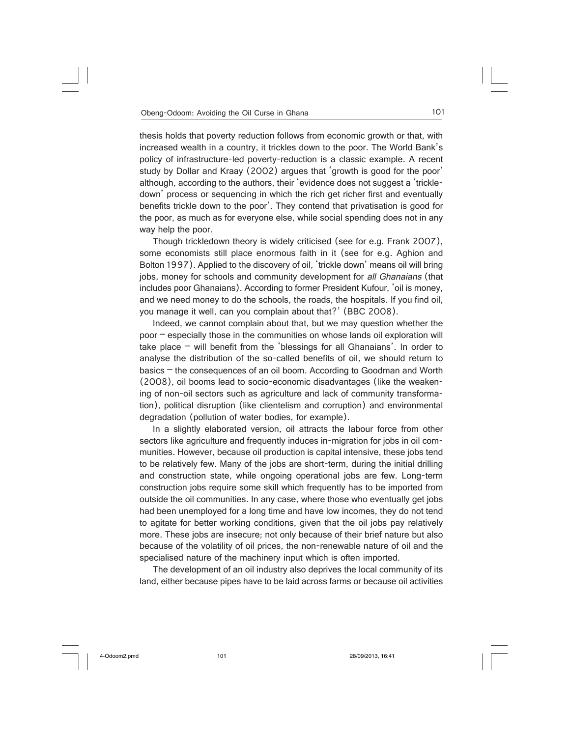thesis holds that poverty reduction follows from economic growth or that, with increased wealth in a country, it trickles down to the poor. The World Bank's policy of infrastructure-led poverty-reduction is a classic example. A recent study by Dollar and Kraay (2002) argues that 'growth is good for the poor' although, according to the authors, their 'evidence does not suggest a 'trickledown' process or sequencing in which the rich get richer first and eventually benefits trickle down to the poor'. They contend that privatisation is good for the poor, as much as for everyone else, while social spending does not in any way help the poor.

Though trickledown theory is widely criticised (see for e.g. Frank 2007), some economists still place enormous faith in it (see for e.g. Aghion and Bolton 1997). Applied to the discovery of oil, 'trickle down' means oil will bring jobs, money for schools and community development for all Ghanaians (that includes poor Ghanaians). According to former President Kufour, 'oil is money, and we need money to do the schools, the roads, the hospitals. If you find oil, you manage it well, can you complain about that?' (BBC 2008).

Indeed, we cannot complain about that, but we may question whether the poor – especially those in the communities on whose lands oil exploration will take place – will benefit from the 'blessings for all Ghanaians'. In order to analyse the distribution of the so-called benefits of oil, we should return to basics – the consequences of an oil boom. According to Goodman and Worth (2008), oil booms lead to socio-economic disadvantages (like the weakening of non-oil sectors such as agriculture and lack of community transformation), political disruption (like clientelism and corruption) and environmental degradation (pollution of water bodies, for example).

In a slightly elaborated version, oil attracts the labour force from other sectors like agriculture and frequently induces in-migration for jobs in oil communities. However, because oil production is capital intensive, these jobs tend to be relatively few. Many of the jobs are short-term, during the initial drilling and construction state, while ongoing operational jobs are few. Long-term construction jobs require some skill which frequently has to be imported from outside the oil communities. In any case, where those who eventually get jobs had been unemployed for a long time and have low incomes, they do not tend to agitate for better working conditions, given that the oil jobs pay relatively more. These jobs are insecure; not only because of their brief nature but also because of the volatility of oil prices, the non-renewable nature of oil and the specialised nature of the machinery input which is often imported.

The development of an oil industry also deprives the local community of its land, either because pipes have to be laid across farms or because oil activities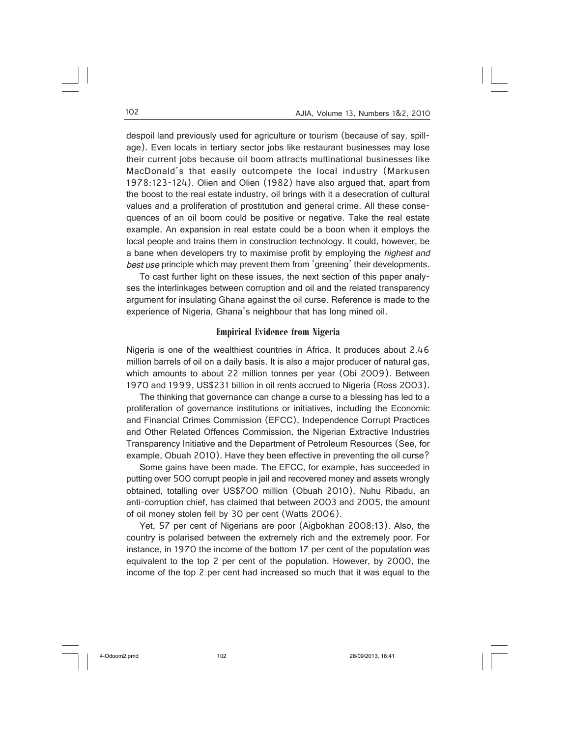despoil land previously used for agriculture or tourism (because of say, spillage). Even locals in tertiary sector jobs like restaurant businesses may lose their current jobs because oil boom attracts multinational businesses like MacDonald's that easily outcompete the local industry (Markusen 1978:123-124). Olien and Olien (1982) have also argued that, apart from the boost to the real estate industry, oil brings with it a desecration of cultural values and a proliferation of prostitution and general crime. All these consequences of an oil boom could be positive or negative. Take the real estate example. An expansion in real estate could be a boon when it employs the local people and trains them in construction technology. It could, however, be a bane when developers try to maximise profit by employing the highest and best use principle which may prevent them from 'greening' their developments.

To cast further light on these issues, the next section of this paper analyses the interlinkages between corruption and oil and the related transparency argument for insulating Ghana against the oil curse. Reference is made to the experience of Nigeria, Ghana's neighbour that has long mined oil.

### **Empirical Evidence from Nigeria**

Nigeria is one of the wealthiest countries in Africa. It produces about 2.46 million barrels of oil on a daily basis. It is also a major producer of natural gas, which amounts to about 22 million tonnes per year (Obi 2009). Between 1970 and 1999, US\$231 billion in oil rents accrued to Nigeria (Ross 2003).

The thinking that governance can change a curse to a blessing has led to a proliferation of governance institutions or initiatives, including the Economic and Financial Crimes Commission (EFCC), Independence Corrupt Practices and Other Related Offences Commission, the Nigerian Extractive Industries Transparency Initiative and the Department of Petroleum Resources (See, for example, Obuah 2010). Have they been effective in preventing the oil curse?

Some gains have been made. The EFCC, for example, has succeeded in putting over 500 corrupt people in jail and recovered money and assets wrongly obtained, totalling over US\$700 million (Obuah 2010). Nuhu Ribadu, an anti-corruption chief, has claimed that between 2003 and 2005, the amount of oil money stolen fell by 30 per cent (Watts 2006).

Yet, 57 per cent of Nigerians are poor (Aigbokhan 2008:13). Also, the country is polarised between the extremely rich and the extremely poor. For instance, in 1970 the income of the bottom 17 per cent of the population was equivalent to the top 2 per cent of the population. However, by 2000, the income of the top 2 per cent had increased so much that it was equal to the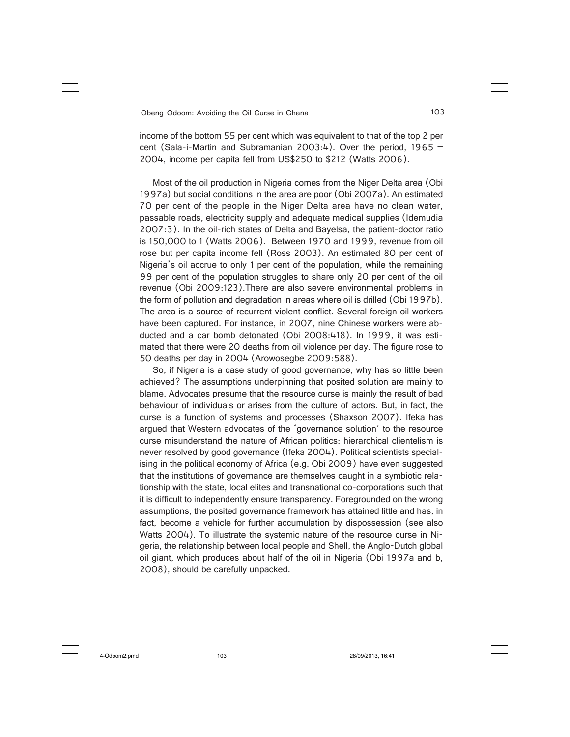income of the bottom 55 per cent which was equivalent to that of the top 2 per cent (Sala-i-Martin and Subramanian 2003:4). Over the period, 1965 – 2004, income per capita fell from US\$250 to \$212 (Watts 2006).

Most of the oil production in Nigeria comes from the Niger Delta area (Obi 1997a) but social conditions in the area are poor (Obi 2007a). An estimated 70 per cent of the people in the Niger Delta area have no clean water, passable roads, electricity supply and adequate medical supplies (Idemudia 2007:3). In the oil-rich states of Delta and Bayelsa, the patient-doctor ratio is 150,000 to 1 (Watts 2006). Between 1970 and 1999, revenue from oil rose but per capita income fell (Ross 2003). An estimated 80 per cent of Nigeria's oil accrue to only 1 per cent of the population, while the remaining 99 per cent of the population struggles to share only 20 per cent of the oil revenue (Obi 2009:123).There are also severe environmental problems in the form of pollution and degradation in areas where oil is drilled (Obi 1997b). The area is a source of recurrent violent conflict. Several foreign oil workers have been captured. For instance, in 2007, nine Chinese workers were abducted and a car bomb detonated (Obi 2008:418). In 1999, it was estimated that there were 20 deaths from oil violence per day. The figure rose to 50 deaths per day in 2004 (Arowosegbe 2009:588).

So, if Nigeria is a case study of good governance, why has so little been achieved? The assumptions underpinning that posited solution are mainly to blame. Advocates presume that the resource curse is mainly the result of bad behaviour of individuals or arises from the culture of actors. But, in fact, the curse is a function of systems and processes (Shaxson 2007). Ifeka has argued that Western advocates of the 'governance solution' to the resource curse misunderstand the nature of African politics: hierarchical clientelism is never resolved by good governance (Ifeka 2004). Political scientists specialising in the political economy of Africa (e.g. Obi 2009) have even suggested that the institutions of governance are themselves caught in a symbiotic relationship with the state, local elites and transnational co-corporations such that it is difficult to independently ensure transparency. Foregrounded on the wrong assumptions, the posited governance framework has attained little and has, in fact, become a vehicle for further accumulation by dispossession (see also Watts 2004). To illustrate the systemic nature of the resource curse in Nigeria, the relationship between local people and Shell, the Anglo-Dutch global oil giant, which produces about half of the oil in Nigeria (Obi 1997a and b, 2008), should be carefully unpacked.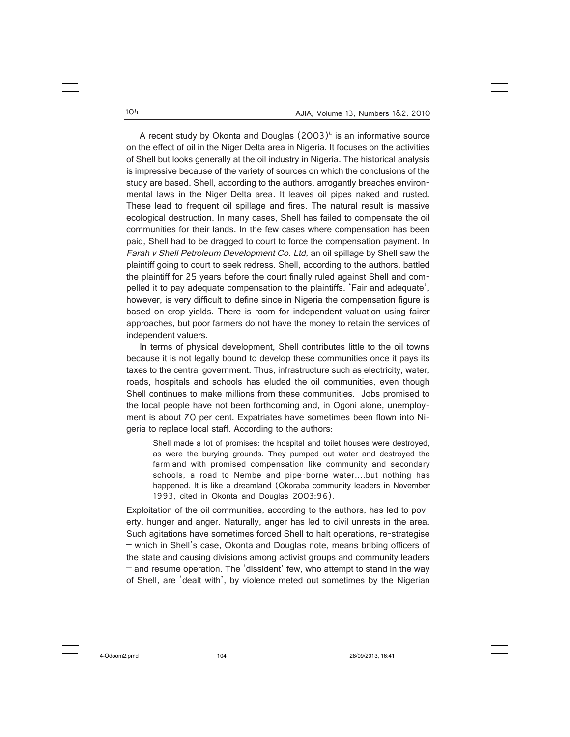A recent study by Okonta and Douglas  $(2003)^4$  is an informative source on the effect of oil in the Niger Delta area in Nigeria. It focuses on the activities of Shell but looks generally at the oil industry in Nigeria. The historical analysis is impressive because of the variety of sources on which the conclusions of the study are based. Shell, according to the authors, arrogantly breaches environmental laws in the Niger Delta area. It leaves oil pipes naked and rusted. These lead to frequent oil spillage and fires. The natural result is massive ecological destruction. In many cases, Shell has failed to compensate the oil communities for their lands. In the few cases where compensation has been paid, Shell had to be dragged to court to force the compensation payment. In Farah v Shell Petroleum Development Co. Ltd, an oil spillage by Shell saw the plaintiff going to court to seek redress. Shell, according to the authors, battled the plaintiff for 25 years before the court finally ruled against Shell and compelled it to pay adequate compensation to the plaintiffs. 'Fair and adequate', however, is very difficult to define since in Nigeria the compensation figure is based on crop yields. There is room for independent valuation using fairer approaches, but poor farmers do not have the money to retain the services of independent valuers.

In terms of physical development, Shell contributes little to the oil towns because it is not legally bound to develop these communities once it pays its taxes to the central government. Thus, infrastructure such as electricity, water, roads, hospitals and schools has eluded the oil communities, even though Shell continues to make millions from these communities. Jobs promised to the local people have not been forthcoming and, in Ogoni alone, unemployment is about 70 per cent. Expatriates have sometimes been flown into Nigeria to replace local staff. According to the authors:

Shell made a lot of promises: the hospital and toilet houses were destroyed, as were the burying grounds. They pumped out water and destroyed the farmland with promised compensation like community and secondary schools, a road to Nembe and pipe-borne water….but nothing has happened. It is like a dreamland (Okoraba community leaders in November 1993, cited in Okonta and Douglas 2003:96).

Exploitation of the oil communities, according to the authors, has led to poverty, hunger and anger. Naturally, anger has led to civil unrests in the area. Such agitations have sometimes forced Shell to halt operations, re-strategise – which in Shell's case, Okonta and Douglas note, means bribing officers of the state and causing divisions among activist groups and community leaders – and resume operation. The 'dissident' few, who attempt to stand in the way of Shell, are 'dealt with', by violence meted out sometimes by the Nigerian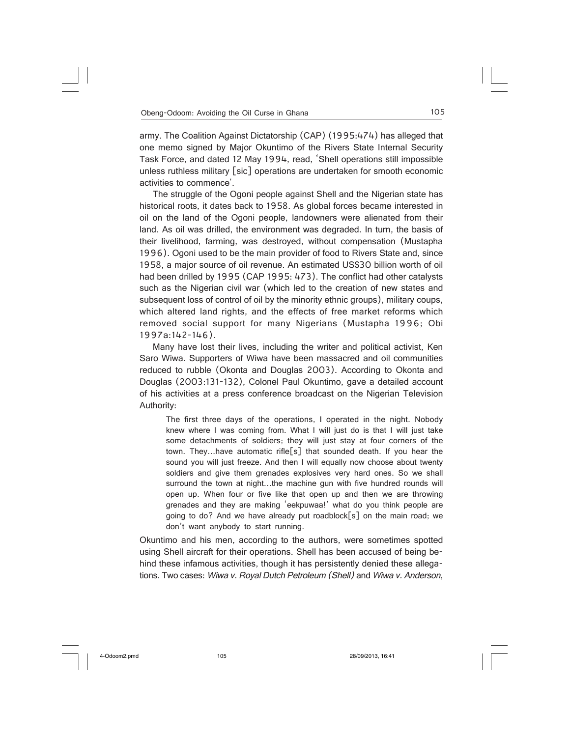army. The Coalition Against Dictatorship (CAP) (1995:474) has alleged that one memo signed by Major Okuntimo of the Rivers State Internal Security Task Force, and dated 12 May 1994, read, 'Shell operations still impossible unless ruthless military [sic] operations are undertaken for smooth economic activities to commence'.

The struggle of the Ogoni people against Shell and the Nigerian state has historical roots, it dates back to 1958. As global forces became interested in oil on the land of the Ogoni people, landowners were alienated from their land. As oil was drilled, the environment was degraded. In turn, the basis of their livelihood, farming, was destroyed, without compensation (Mustapha 1996). Ogoni used to be the main provider of food to Rivers State and, since 1958, a major source of oil revenue. An estimated US\$30 billion worth of oil had been drilled by 1995 (CAP 1995: 473). The conflict had other catalysts such as the Nigerian civil war (which led to the creation of new states and subsequent loss of control of oil by the minority ethnic groups), military coups, which altered land rights, and the effects of free market reforms which removed social support for many Nigerians (Mustapha 1996; Obi 1997a:142-146).

Many have lost their lives, including the writer and political activist, Ken Saro Wiwa. Supporters of Wiwa have been massacred and oil communities reduced to rubble (Okonta and Douglas 2003). According to Okonta and Douglas (2003:131-132), Colonel Paul Okuntimo, gave a detailed account of his activities at a press conference broadcast on the Nigerian Television Authority:

The first three days of the operations, I operated in the night. Nobody knew where I was coming from. What I will just do is that I will just take some detachments of soldiers; they will just stay at four corners of the town. They…have automatic rifle[s] that sounded death. If you hear the sound you will just freeze. And then I will equally now choose about twenty soldiers and give them grenades explosives very hard ones. So we shall surround the town at night…the machine gun with five hundred rounds will open up. When four or five like that open up and then we are throwing grenades and they are making 'eekpuwaa!' what do you think people are going to do? And we have already put roadblock[s] on the main road; we don't want anybody to start running.

Okuntimo and his men, according to the authors, were sometimes spotted using Shell aircraft for their operations. Shell has been accused of being behind these infamous activities, though it has persistently denied these allegations. Two cases: Wiwa v. Royal Dutch Petroleum (Shell) and Wiwa v. Anderson,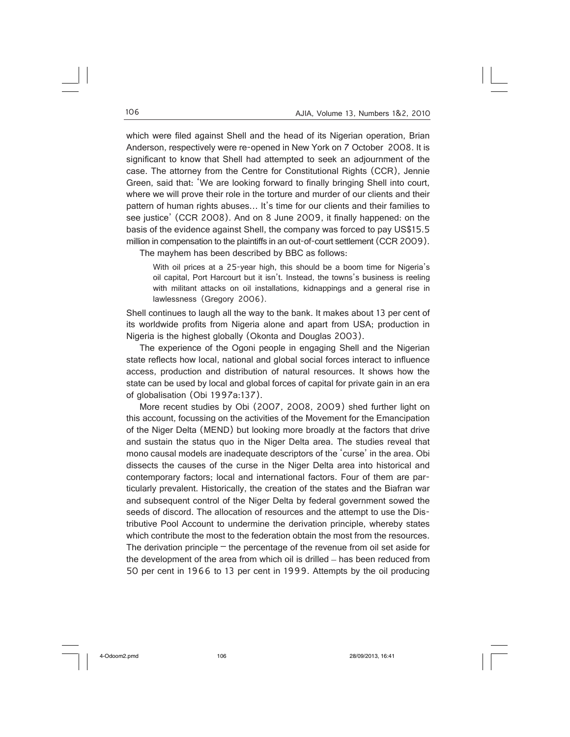which were filed against Shell and the head of its Nigerian operation, Brian Anderson, respectively were re-opened in New York on 7 October 2008. It is significant to know that Shell had attempted to seek an adjournment of the case. The attorney from the Centre for Constitutional Rights (CCR), Jennie Green, said that: 'We are looking forward to finally bringing Shell into court, where we will prove their role in the torture and murder of our clients and their pattern of human rights abuses… It's time for our clients and their families to see justice' (CCR 2008). And on 8 June 2009, it finally happened: on the basis of the evidence against Shell, the company was forced to pay US\$15.5 million in compensation to the plaintiffs in an out-of-court settlement (CCR 2009).

The mayhem has been described by BBC as follows:

With oil prices at a 25-year high, this should be a boom time for Nigeria's oil capital, Port Harcourt but it isn't. Instead, the towns's business is reeling with militant attacks on oil installations, kidnappings and a general rise in lawlessness (Gregory 2006).

Shell continues to laugh all the way to the bank. It makes about 13 per cent of its worldwide profits from Nigeria alone and apart from USA; production in Nigeria is the highest globally (Okonta and Douglas 2003).

The experience of the Ogoni people in engaging Shell and the Nigerian state reflects how local, national and global social forces interact to influence access, production and distribution of natural resources. It shows how the state can be used by local and global forces of capital for private gain in an era of globalisation (Obi 1997a:137).

More recent studies by Obi (2007, 2008, 2009) shed further light on this account, focussing on the activities of the Movement for the Emancipation of the Niger Delta (MEND) but looking more broadly at the factors that drive and sustain the status quo in the Niger Delta area. The studies reveal that mono causal models are inadequate descriptors of the 'curse' in the area. Obi dissects the causes of the curse in the Niger Delta area into historical and contemporary factors; local and international factors. Four of them are particularly prevalent. Historically, the creation of the states and the Biafran war and subsequent control of the Niger Delta by federal government sowed the seeds of discord. The allocation of resources and the attempt to use the Distributive Pool Account to undermine the derivation principle, whereby states which contribute the most to the federation obtain the most from the resources. The derivation principle  $-$  the percentage of the revenue from oil set aside for the development of the area from which oil is drilled – has been reduced from 50 per cent in 1966 to 13 per cent in 1999. Attempts by the oil producing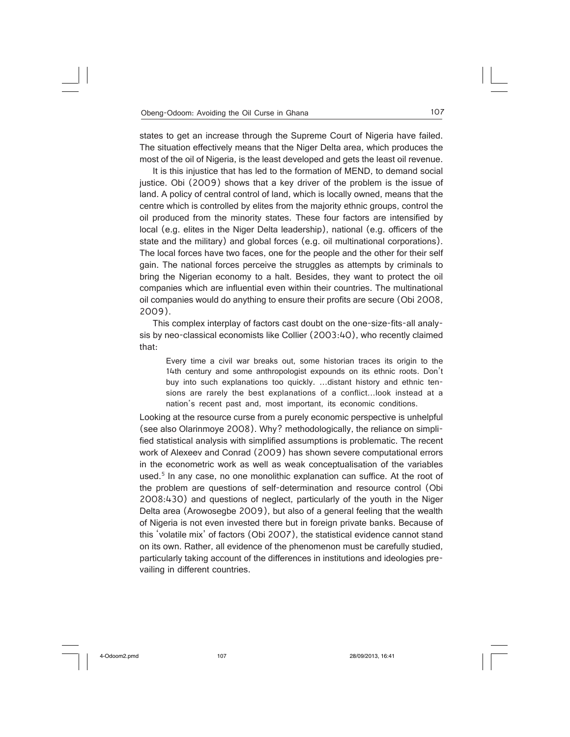states to get an increase through the Supreme Court of Nigeria have failed. The situation effectively means that the Niger Delta area, which produces the most of the oil of Nigeria, is the least developed and gets the least oil revenue.

It is this injustice that has led to the formation of MEND, to demand social justice. Obi (2009) shows that a key driver of the problem is the issue of land. A policy of central control of land, which is locally owned, means that the centre which is controlled by elites from the majority ethnic groups, control the oil produced from the minority states. These four factors are intensified by local (e.g. elites in the Niger Delta leadership), national (e.g. officers of the state and the military) and global forces (e.g. oil multinational corporations). The local forces have two faces, one for the people and the other for their self gain. The national forces perceive the struggles as attempts by criminals to bring the Nigerian economy to a halt. Besides, they want to protect the oil companies which are influential even within their countries. The multinational oil companies would do anything to ensure their profits are secure (Obi 2008, 2009).

This complex interplay of factors cast doubt on the one-size-fits-all analysis by neo-classical economists like Collier (2003:40), who recently claimed that:

Every time a civil war breaks out, some historian traces its origin to the 14th century and some anthropologist expounds on its ethnic roots. Don't buy into such explanations too quickly. …distant history and ethnic tensions are rarely the best explanations of a conflict…look instead at a nation's recent past and, most important, its economic conditions.

Looking at the resource curse from a purely economic perspective is unhelpful (see also Olarinmoye 2008). Why? methodologically, the reliance on simplified statistical analysis with simplified assumptions is problematic. The recent work of Alexeev and Conrad (2009) has shown severe computational errors in the econometric work as well as weak conceptualisation of the variables used.<sup>5</sup> In any case, no one monolithic explanation can suffice. At the root of the problem are questions of self-determination and resource control (Obi 2008:430) and questions of neglect, particularly of the youth in the Niger Delta area (Arowosegbe 2009), but also of a general feeling that the wealth of Nigeria is not even invested there but in foreign private banks. Because of this 'volatile mix' of factors (Obi 2007), the statistical evidence cannot stand on its own. Rather, all evidence of the phenomenon must be carefully studied, particularly taking account of the differences in institutions and ideologies prevailing in different countries.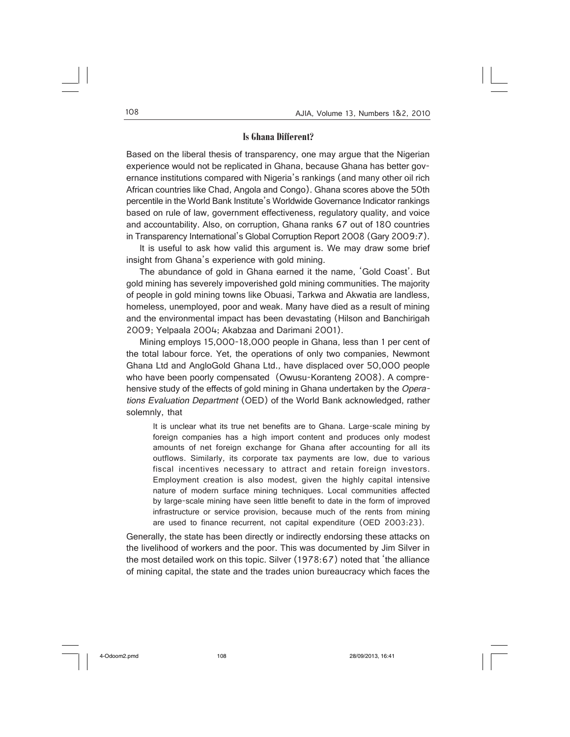### **Is Ghana Different?**

Based on the liberal thesis of transparency, one may argue that the Nigerian experience would not be replicated in Ghana, because Ghana has better governance institutions compared with Nigeria's rankings (and many other oil rich African countries like Chad, Angola and Congo). Ghana scores above the 50th percentile in the World Bank Institute's Worldwide Governance Indicator rankings based on rule of law, government effectiveness, regulatory quality, and voice and accountability. Also, on corruption, Ghana ranks 67 out of 180 countries in Transparency International's Global Corruption Report 2008 (Gary 2009:7).

It is useful to ask how valid this argument is. We may draw some brief insight from Ghana's experience with gold mining.

The abundance of gold in Ghana earned it the name, 'Gold Coast'. But gold mining has severely impoverished gold mining communities. The majority of people in gold mining towns like Obuasi, Tarkwa and Akwatia are landless, homeless, unemployed, poor and weak. Many have died as a result of mining and the environmental impact has been devastating (Hilson and Banchirigah 2009; Yelpaala 2004; Akabzaa and Darimani 2001).

Mining employs 15,000-18,000 people in Ghana, less than 1 per cent of the total labour force. Yet, the operations of only two companies, Newmont Ghana Ltd and AngloGold Ghana Ltd., have displaced over 50,000 people who have been poorly compensated (Owusu-Koranteng 2008). A comprehensive study of the effects of gold mining in Ghana undertaken by the Operations Evaluation Department (OED) of the World Bank acknowledged, rather solemnly, that

It is unclear what its true net benefits are to Ghana. Large-scale mining by foreign companies has a high import content and produces only modest amounts of net foreign exchange for Ghana after accounting for all its outflows. Similarly, its corporate tax payments are low, due to various fiscal incentives necessary to attract and retain foreign investors. Employment creation is also modest, given the highly capital intensive nature of modern surface mining techniques. Local communities affected by large-scale mining have seen little benefit to date in the form of improved infrastructure or service provision, because much of the rents from mining are used to finance recurrent, not capital expenditure (OED 2003:23).

Generally, the state has been directly or indirectly endorsing these attacks on the livelihood of workers and the poor. This was documented by Jim Silver in the most detailed work on this topic. Silver (1978:67) noted that 'the alliance of mining capital, the state and the trades union bureaucracy which faces the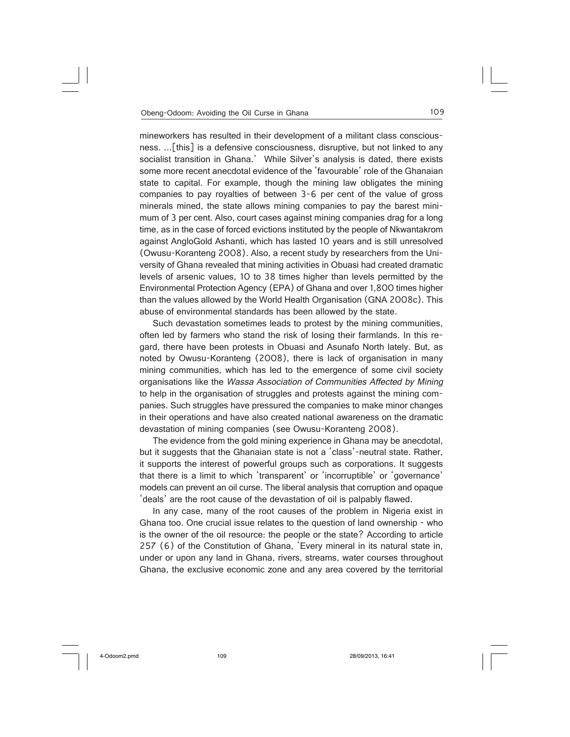mineworkers has resulted in their development of a militant class consciousness. ...[this] is a defensive consciousness, disruptive, but not linked to any socialist transition in Ghana.' While Silver's analysis is dated, there exists some more recent anecdotal evidence of the 'favourable' role of the Ghanaian state to capital. For example, though the mining law obligates the mining companies to pay royalties of between 3-6 per cent of the value of gross minerals mined, the state allows mining companies to pay the barest minimum of 3 per cent. Also, court cases against mining companies drag for a long time, as in the case of forced evictions instituted by the people of Nkwantakrom against AngloGold Ashanti, which has lasted 10 years and is still unresolved (Owusu-Koranteng 2008). Also, a recent study by researchers from the University of Ghana revealed that mining activities in Obuasi had created dramatic levels of arsenic values, 10 to 38 times higher than levels permitted by the Environmental Protection Agency (EPA) of Ghana and over 1,800 times higher than the values allowed by the World Health Organisation (GNA 2008c). This abuse of environmental standards has been allowed by the state.

Such devastation sometimes leads to protest by the mining communities, often led by farmers who stand the risk of losing their farmlands. In this regard, there have been protests in Obuasi and Asunafo North lately. But, as noted by Owusu-Koranteng (2008), there is lack of organisation in many mining communities, which has led to the emergence of some civil society organisations like the Wassa Association of Communities Affected by Mining to help in the organisation of struggles and protests against the mining companies. Such struggles have pressured the companies to make minor changes in their operations and have also created national awareness on the dramatic devastation of mining companies (see Owusu-Koranteng 2008).

The evidence from the gold mining experience in Ghana may be anecdotal, but it suggests that the Ghanaian state is not a 'class'-neutral state. Rather, it supports the interest of powerful groups such as corporations. It suggests that there is a limit to which 'transparent' or 'incorruptible' or 'governance' models can prevent an oil curse. The liberal analysis that corruption and opaque 'deals' are the root cause of the devastation of oil is palpably flawed.

In any case, many of the root causes of the problem in Nigeria exist in Ghana too. One crucial issue relates to the question of land ownership - who is the owner of the oil resource: the people or the state? According to article 257 (6) of the Constitution of Ghana, 'Every mineral in its natural state in, under or upon any land in Ghana, rivers, streams, water courses throughout Ghana, the exclusive economic zone and any area covered by the territorial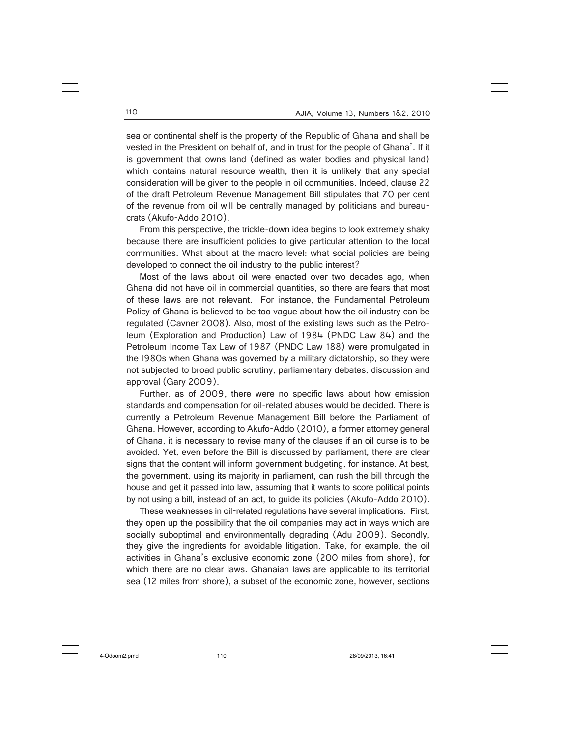sea or continental shelf is the property of the Republic of Ghana and shall be vested in the President on behalf of, and in trust for the people of Ghana'. If it is government that owns land (defined as water bodies and physical land) which contains natural resource wealth, then it is unlikely that any special consideration will be given to the people in oil communities. Indeed, clause 22 of the draft Petroleum Revenue Management Bill stipulates that 70 per cent of the revenue from oil will be centrally managed by politicians and bureaucrats (Akufo-Addo 2010).

From this perspective, the trickle-down idea begins to look extremely shaky because there are insufficient policies to give particular attention to the local communities. What about at the macro level: what social policies are being developed to connect the oil industry to the public interest?

Most of the laws about oil were enacted over two decades ago, when Ghana did not have oil in commercial quantities, so there are fears that most of these laws are not relevant. For instance, the Fundamental Petroleum Policy of Ghana is believed to be too vague about how the oil industry can be regulated (Cavner 2008). Also, most of the existing laws such as the Petroleum (Exploration and Production) Law of 1984 (PNDC Law 84) and the Petroleum Income Tax Law of 1987 (PNDC Law 188) were promulgated in the I980s when Ghana was governed by a military dictatorship, so they were not subjected to broad public scrutiny, parliamentary debates, discussion and approval (Gary 2009).

Further, as of 2009, there were no specific laws about how emission standards and compensation for oil-related abuses would be decided. There is currently a Petroleum Revenue Management Bill before the Parliament of Ghana. However, according to Akufo-Addo (2010), a former attorney general of Ghana, it is necessary to revise many of the clauses if an oil curse is to be avoided. Yet, even before the Bill is discussed by parliament, there are clear signs that the content will inform government budgeting, for instance. At best, the government, using its majority in parliament, can rush the bill through the house and get it passed into law, assuming that it wants to score political points by not using a bill, instead of an act, to guide its policies (Akufo-Addo 2010).

These weaknesses in oil-related regulations have several implications. First, they open up the possibility that the oil companies may act in ways which are socially suboptimal and environmentally degrading (Adu 2009). Secondly, they give the ingredients for avoidable litigation. Take, for example, the oil activities in Ghana's exclusive economic zone (200 miles from shore), for which there are no clear laws. Ghanaian laws are applicable to its territorial sea (12 miles from shore), a subset of the economic zone, however, sections

4-Odoom2.pmd 110 28/09/2013, 16:41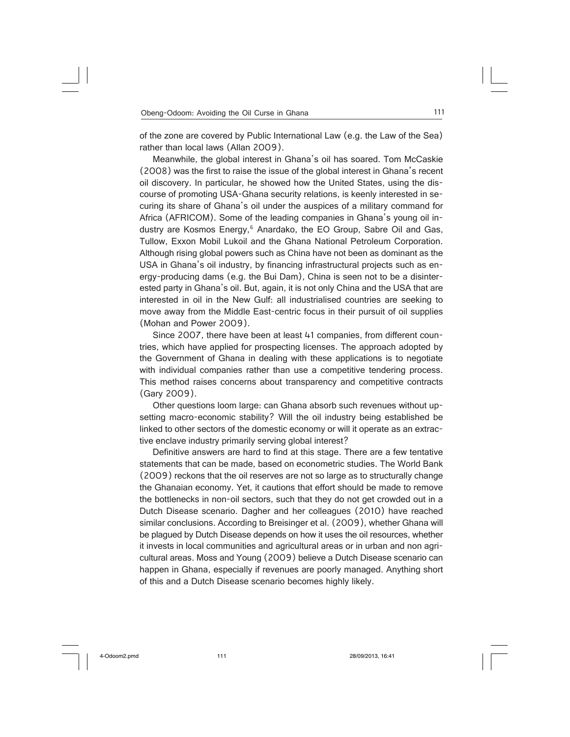of the zone are covered by Public International Law (e.g. the Law of the Sea) rather than local laws (Allan 2009).

Meanwhile, the global interest in Ghana's oil has soared. Tom McCaskie (2008) was the first to raise the issue of the global interest in Ghana's recent oil discovery. In particular, he showed how the United States, using the discourse of promoting USA-Ghana security relations, is keenly interested in securing its share of Ghana's oil under the auspices of a military command for Africa (AFRICOM). Some of the leading companies in Ghana's young oil industry are Kosmos Energy,<sup>6</sup> Anardako, the EO Group, Sabre Oil and Gas, Tullow, Exxon Mobil Lukoil and the Ghana National Petroleum Corporation. Although rising global powers such as China have not been as dominant as the USA in Ghana's oil industry, by financing infrastructural projects such as energy-producing dams (e.g. the Bui Dam), China is seen not to be a disinterested party in Ghana's oil. But, again, it is not only China and the USA that are interested in oil in the New Gulf: all industrialised countries are seeking to move away from the Middle East-centric focus in their pursuit of oil supplies (Mohan and Power 2009).

Since 2007, there have been at least 41 companies, from different countries, which have applied for prospecting licenses. The approach adopted by the Government of Ghana in dealing with these applications is to negotiate with individual companies rather than use a competitive tendering process. This method raises concerns about transparency and competitive contracts (Gary 2009).

Other questions loom large: can Ghana absorb such revenues without upsetting macro-economic stability? Will the oil industry being established be linked to other sectors of the domestic economy or will it operate as an extractive enclave industry primarily serving global interest?

Definitive answers are hard to find at this stage. There are a few tentative statements that can be made, based on econometric studies. The World Bank (2009) reckons that the oil reserves are not so large as to structurally change the Ghanaian economy. Yet, it cautions that effort should be made to remove the bottlenecks in non-oil sectors, such that they do not get crowded out in a Dutch Disease scenario. Dagher and her colleagues (2010) have reached similar conclusions. According to Breisinger et al. (2009), whether Ghana will be plagued by Dutch Disease depends on how it uses the oil resources, whether it invests in local communities and agricultural areas or in urban and non agricultural areas. Moss and Young (2009) believe a Dutch Disease scenario can happen in Ghana, especially if revenues are poorly managed. Anything short of this and a Dutch Disease scenario becomes highly likely.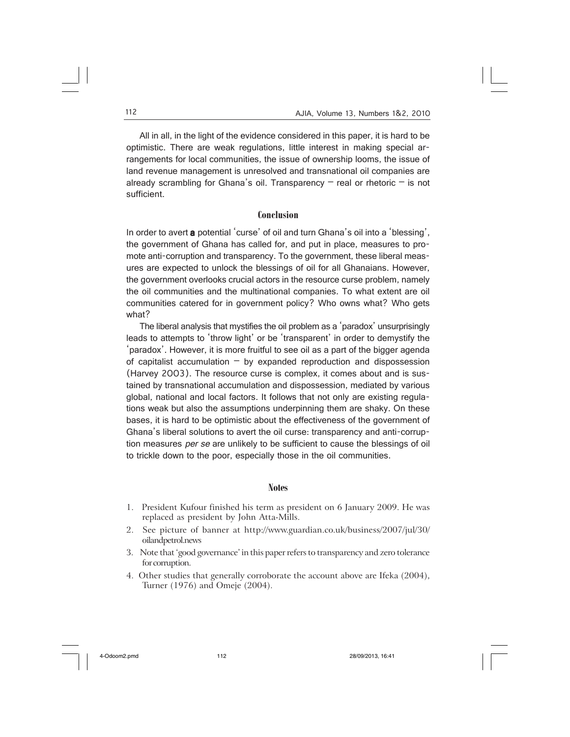All in all, in the light of the evidence considered in this paper, it is hard to be optimistic. There are weak regulations, little interest in making special arrangements for local communities, the issue of ownership looms, the issue of land revenue management is unresolved and transnational oil companies are already scrambling for Ghana's oil. Transparency  $-$  real or rhetoric  $-$  is not sufficient.

### **Conclusion**

In order to avert a potential 'curse' of oil and turn Ghana's oil into a 'blessing', the government of Ghana has called for, and put in place, measures to promote anti-corruption and transparency. To the government, these liberal measures are expected to unlock the blessings of oil for all Ghanaians. However, the government overlooks crucial actors in the resource curse problem, namely the oil communities and the multinational companies. To what extent are oil communities catered for in government policy? Who owns what? Who gets what?

The liberal analysis that mystifies the oil problem as a 'paradox' unsurprisingly leads to attempts to 'throw light' or be 'transparent' in order to demystify the 'paradox'. However, it is more fruitful to see oil as a part of the bigger agenda of capitalist accumulation  $-$  by expanded reproduction and dispossession (Harvey 2003). The resource curse is complex, it comes about and is sustained by transnational accumulation and dispossession, mediated by various global, national and local factors. It follows that not only are existing regulations weak but also the assumptions underpinning them are shaky. On these bases, it is hard to be optimistic about the effectiveness of the government of Ghana's liberal solutions to avert the oil curse: transparency and anti-corruption measures *per se* are unlikely to be sufficient to cause the blessings of oil to trickle down to the poor, especially those in the oil communities.

### **Notes**

- 1. President Kufour finished his term as president on 6 January 2009. He was replaced as president by John Atta-Mills.
- 2. See picture of banner at http://www.guardian.co.uk/business/2007/jul/30/ oilandpetrol.news
- 3. Note that 'good governance' in this paper refers to transparency and zero tolerance for corruption.
- 4. Other studies that generally corroborate the account above are Ifeka (2004), Turner (1976) and Omeje (2004).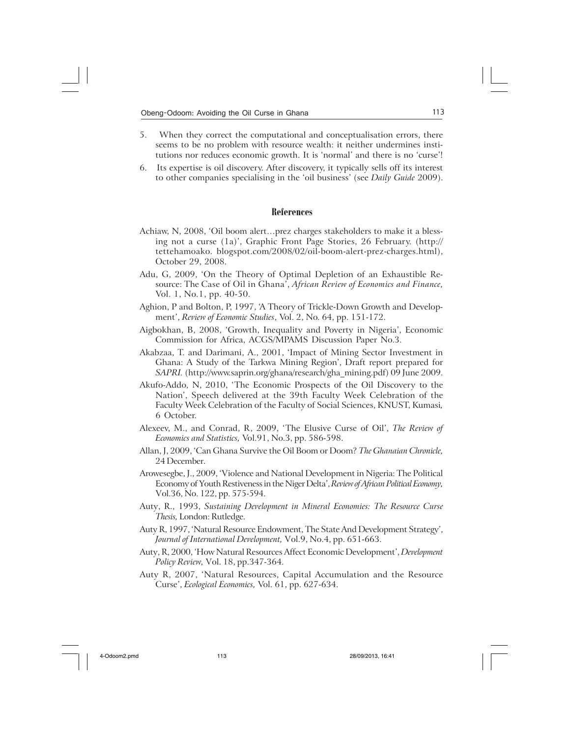- 5. When they correct the computational and conceptualisation errors, there seems to be no problem with resource wealth: it neither undermines institutions nor reduces economic growth. It is 'normal' and there is no 'curse'!
- 6. Its expertise is oil discovery. After discovery, it typically sells off its interest to other companies specialising in the 'oil business' (see *Daily Guide* 2009).

### **References**

- Achiaw, N, 2008, 'Oil boom alert…prez charges stakeholders to make it a blessing not a curse (1a)', Graphic Front Page Stories, 26 February. (http:// tettehamoako. blogspot.com/2008/02/oil-boom-alert-prez-charges.html), October 29, 2008.
- Adu, G, 2009, 'On the Theory of Optimal Depletion of an Exhaustible Resource: The Case of Oil in Ghana', *African Review of Economics and Finance,* Vol. 1, No.1, pp. 40-50.
- Aghion, P and Bolton, P, 1997, 'A Theory of Trickle-Down Growth and Development', *Review of Economic Studies*, Vol. 2, No. 64, pp. 151-172.
- Aigbokhan, B, 2008, 'Growth, Inequality and Poverty in Nigeria', Economic Commission for Africa, ACGS/MPAMS Discussion Paper No.3.
- Akabzaa, T. and Darimani, A., 2001, 'Impact of Mining Sector Investment in Ghana: A Study of the Tarkwa Mining Region', Draft report prepared for *SAPRI.* (http://www.saprin.org/ghana/research/gha\_mining.pdf) 09 June 2009.
- Akufo-Addo, N, 2010, 'The Economic Prospects of the Oil Discovery to the Nation', Speech delivered at the 39th Faculty Week Celebration of the Faculty Week Celebration of the Faculty of Social Sciences, KNUST, Kumasi*,* 6 October.
- Alexeev, M., and Conrad, R, 2009, 'The Elusive Curse of Oil', *The Review of Economics and Statistics,* Vol.91, No.3, pp. 586-598.
- Allan, J, 2009, 'Can Ghana Survive the Oil Boom or Doom? *The Ghanaian Chronicle,* 24 December.
- Arowesegbe, J., 2009, 'Violence and National Development in Nigeria: The Political Economy of Youth Restiveness in the Niger Delta', *Review of African Political Economy,* Vol.36, No. 122, pp. 575-594.
- Auty, R., 1993, *Sustaining Development in Mineral Economies: The Resource Curse Thesis,* London: Rutledge.
- Auty R, 1997, 'Natural Resource Endowment, The State And Development Strategy', *Journal of International Development,* Vol.9, No.4, pp. 651-663.
- Auty, R, 2000, 'How Natural Resources Affect Economic Development', *Development Policy Review,* Vol. 18, pp.347-364.
- Auty R, 2007, 'Natural Resources, Capital Accumulation and the Resource Curse', *Ecological Economics,* Vol. 61, pp. 627-634.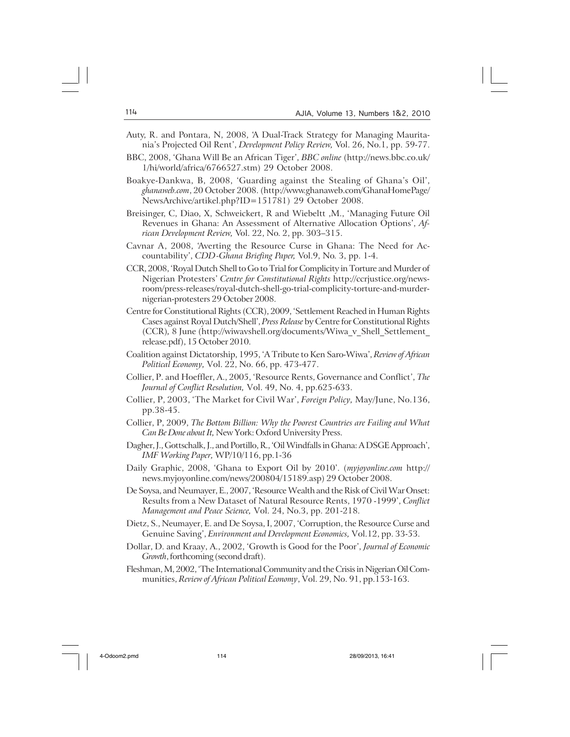- Auty, R. and Pontara, N, 2008, 'A Dual-Track Strategy for Managing Mauritania's Projected Oil Rent', *Development Policy Review,* Vol. 26, No.1, pp. 59-77.
- BBC, 2008, 'Ghana Will Be an African Tiger', *BBC online* (http://news.bbc.co.uk/ 1/hi/world/africa/6766527.stm) 29 October 2008.
- Boakye-Dankwa, B, 2008, 'Guarding against the Stealing of Ghana's Oil', *ghanaweb.com*, 20 October 2008. (http://www.ghanaweb.com/GhanaHomePage/ NewsArchive/artikel.php?ID=151781) 29 October 2008.
- Breisinger, C, Diao, X, Schweickert, R and Wiebeltt ,M., 'Managing Future Oil Revenues in Ghana: An Assessment of Alternative Allocation Options', *African Development Review,* Vol. 22, No. 2, pp. 303–315.
- Cavnar A, 2008, 'Averting the Resource Curse in Ghana: The Need for Accountability', *CDD-Ghana Briefing Paper,* Vol.9, No. 3, pp. 1-4.
- CCR, 2008, 'Royal Dutch Shell to Go to Trial for Complicity in Torture and Murder of Nigerian Protesters' *Centre for Constitutional Rights* http://ccrjustice.org/newsroom/press-releases/royal-dutch-shell-go-trial-complicity-torture-and-murdernigerian-protesters 29 October 2008.
- Centre for Constitutional Rights (CCR), 2009, 'Settlement Reached in Human Rights Cases against Royal Dutch/Shell', *Press Release* by Centre for Constitutional Rights (CCR)*,* 8 June (http://wiwavshell.org/documents/Wiwa\_v\_Shell\_Settlement\_ release.pdf), 15 October 2010.
- Coalition against Dictatorship, 1995, 'A Tribute to Ken Saro-Wiwa', *Review of African Political Economy,* Vol. 22, No. 66, pp. 473-477.
- Collier, P. and Hoeffler, A., 2005, 'Resource Rents, Governance and Conflict', *The Journal of Conflict Resolution,* Vol. 49, No. 4, pp.625-633.
- Collier, P, 2003, 'The Market for Civil War', *Foreign Policy,* May/June, No.136, pp.38-45.
- Collier, P, 2009, *The Bottom Billion: Why the Poorest Countries are Failing and What Can Be Done about It,* New York: Oxford University Press.
- Dagher, J., Gottschalk, J., and Portillo, R., 'Oil Windfalls in Ghana: A DSGE Approach', *IMF Working Paper,* WP/10/116, pp.1-36
- Daily Graphic, 2008, 'Ghana to Export Oil by 2010'. (*myjoyonline.com* http:// news.myjoyonline.com/news/200804/15189.asp) 29 October 2008.
- De Soysa, and Neumayer, E., 2007, 'Resource Wealth and the Risk of Civil War Onset: Results from a New Dataset of Natural Resource Rents, 1970 -1999', *Conflict Management and Peace Science,* Vol. 24, No.3, pp. 201-218.
- Dietz, S., Neumayer, E. and De Soysa, I, 2007, 'Corruption, the Resource Curse and Genuine Saving', *Environment and Development Economics,* Vol.12, pp. 33-53.
- Dollar, D. and Kraay, A., 2002, 'Growth is Good for the Poor', *Journal of Economic Growth*, forthcoming (second draft).
- Fleshman, M, 2002, 'The International Community and the Crisis in Nigerian Oil Communities, *Review of African Political Economy*, Vol. 29, No. 91, pp.153-163.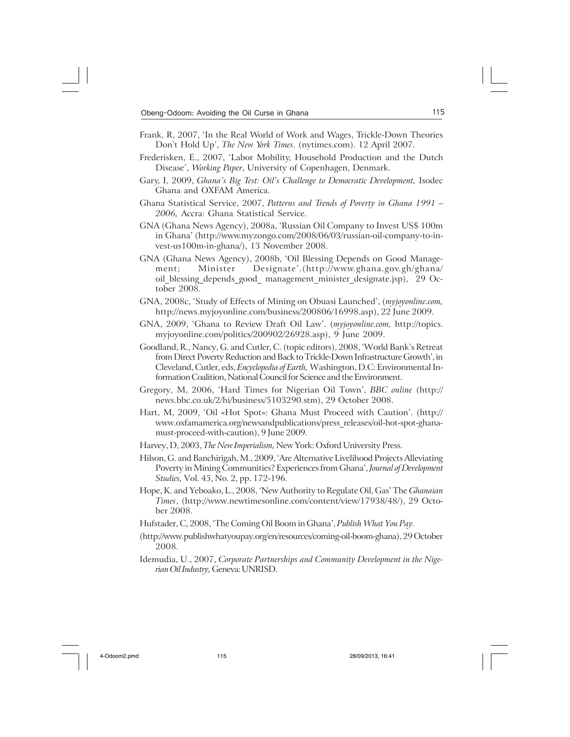- Frank, R, 2007, 'In the Real World of Work and Wages, Trickle-Down Theories Don't Hold Up', *The New York Times*. (nytimes.com). 12 April 2007.
- Frederisken, E., 2007, 'Labor Mobility, Household Production and the Dutch Disease', *Working Paper*, University of Copenhagen, Denmark.
- Gary, I, 2009, *Ghana's Big Test: Oil's Challenge to Democratic Development,* Isodec Ghana and OXFAM America.
- Ghana Statistical Service, 2007, *Patterns and Trends of Poverty in Ghana 1991 – 2006,* Accra: Ghana Statistical Service.
- GNA (Ghana News Agency), 2008a, 'Russian Oil Company to Invest US\$ 100m in Ghana' (http://www.myzongo.com/2008/06/03/russian-oil-company-to-invest-us100m-in-ghana/), 13 November 2008.
- GNA (Ghana News Agency), 2008b, 'Oil Blessing Depends on Good Management; Minister Designate'.(http://www.ghana.gov.gh/ghana/ oil\_blessing\_depends\_good\_ management\_minister\_designate.jsp), 29 October 2008.
- GNA, 2008c, 'Study of Effects of Mining on Obuasi Launched', (*myjoyonline.com,* http://news.myjoyonline.com/business/200806/16998.asp), 22 June 2009.
- GNA, 2009, 'Ghana to Review Draft Oil Law'. (*myjoyonline.com,* http://topics. myjoyonline.com/politics/200902/26928.asp), 9 June 2009.
- Goodland, R., Nancy, G. and Cutler, C. (topic editors), 2008, 'World Bank's Retreat from Direct Poverty Reduction and Back to Trickle-Down Infrastructure Growth', in Cleveland, Cutler, eds, *Encyclopedia of Earth,* Washington, D.C: Environmental Information Coalition, National Council for Science and the Environment.
- Gregory, M, 2006, 'Hard Times for Nigerian Oil Town', *BBC online* (http:// news.bbc.co.uk/2/hi/business/5103290.stm), 29 October 2008.
- Hart, M, 2009, 'Oil «Hot Spot»: Ghana Must Proceed with Caution'. (http:// www.oxfamamerica.org/newsandpublications/press\_releases/oil-hot-spot-ghanamust-proceed-with-caution), 9 June 2009.
- Harvey, D, 2003, *The New Imperialism,* New York: Oxford University Press.
- Hilson, G. and Banchirigah, M., 2009, 'Are Alternative Livelihood Projects Alleviating Poverty in Mining Communities? Experiences from Ghana', *Journal of Development Studies,* Vol. 45, No. 2, pp. 172-196.
- Hope, K. and Yeboako, L., 2008, 'New Authority to Regulate Oil, Gas' The *Ghanaian Times*, (http://www.newtimesonline.com/content/view/17938/48/), 29 October 2008.
- Hufstader, C, 2008, 'The Coming Oil Boom in Ghana', *Publish What You Pay.*
- (http://www.publishwhatyoupay.org/en/resources/coming-oil-boom-ghana), 29 October 2008.
- Idemudia, U., 2007, *Corporate Partnerships and Community Development in the Nigerian Oil Industry,* Geneva: UNRISD.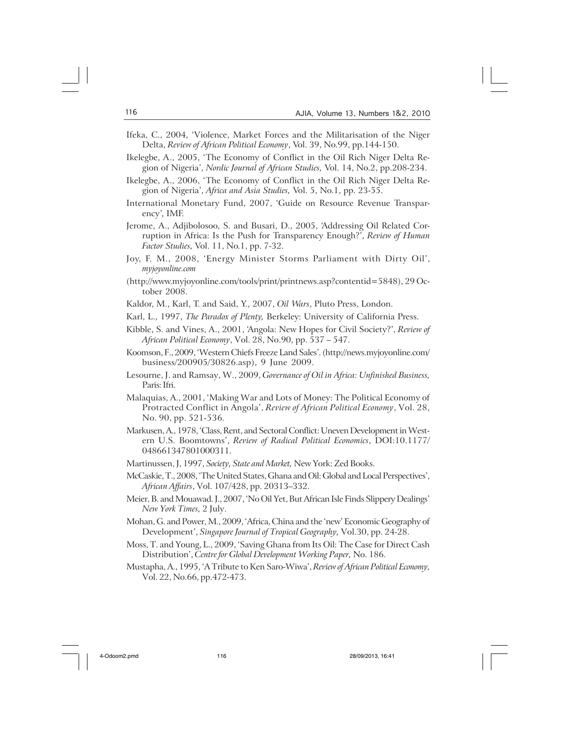- Ifeka, C., 2004, 'Violence, Market Forces and the Militarisation of the Niger Delta, *Review of African Political Economy*, Vol. 39, No.99, pp.144-150.
- Ikelegbe, A., 2005, 'The Economy of Conflict in the Oil Rich Niger Delta Region of Nigeria', *Nordic Journal of African Studies,* Vol. 14, No.2, pp.208-234.
- Ikelegbe, A., 2006, 'The Economy of Conflict in the Oil Rich Niger Delta Region of Nigeria', *Africa and Asia Studies,* Vol. 5, No.1, pp. 23-55.
- International Monetary Fund, 2007, 'Guide on Resource Revenue Transparency'*,* IMF.
- Jerome, A., Adjibolosoo, S. and Busari, D., 2005, 'Addressing Oil Related Corruption in Africa: Is the Push for Transparency Enough?', *Review of Human Factor Studies,* Vol. 11, No.1, pp. 7-32.
- Joy, F. M., 2008, 'Energy Minister Storms Parliament with Dirty Oil', *myjoyonline.com*
- (http://www.myjoyonline.com/tools/print/printnews.asp?contentid=5848), 29 October 2008.
- Kaldor, M., Karl, T. and Said, Y., 2007, *Oil Wars*, Pluto Press, London.
- Karl, L., 1997, *The Paradox of Plenty,* Berkeley: University of California Press.
- Kibble, S. and Vines, A., 2001, 'Angola: New Hopes for Civil Society?', *Review of African Political Economy*, Vol. 28, No.90, pp. 537 – 547.
- Koomson, F., 2009, 'Western Chiefs Freeze Land Sales'. (http://news.myjoyonline.com/ business/200905/30826.asp), 9 June 2009.
- Lesourne, J. and Ramsay, W., 2009, *Governance of Oil in Africa: Unfinished Business,* Paris: Ifri.
- Malaquias, A., 2001, 'Making War and Lots of Money: The Political Economy of Protracted Conflict in Angola', *Review of African Political Economy*, Vol. 28, No. 90, pp. 521-536.
- Markusen, A., 1978, 'Class, Rent, and Sectoral Conflict: Uneven Development in Western U.S. Boomtowns', *Review of Radical Political Economics*, DOI:10.1177/ 048661347801000311.
- Martinussen, J, 1997, *Society, State and Market,* New York: Zed Books.
- McCaskie, T., 2008, 'The United States, Ghana and Oil: Global and Local Perspectives', *African Affairs*, Vol. 107/428, pp. 20313–332.
- Meier, B. and Mouawad. J., 2007, 'No Oil Yet, But African Isle Finds Slippery Dealings' *New York Times,* 2 July.
- Mohan, G. and Power, M., 2009, 'Africa, China and the 'new' Economic Geography of Development', *Singapore Journal of Tropical Geography,* Vol.30, pp. 24-28.
- Moss, T. and Young, L., 2009, 'Saving Ghana from Its Oil: The Case for Direct Cash Distribution', *Centre for Global Development Working Paper,* No. 186.
- Mustapha, A., 1995, 'A Tribute to Ken Saro-Wiwa', *Review of African Political Economy,* Vol. 22, No.66, pp.472-473.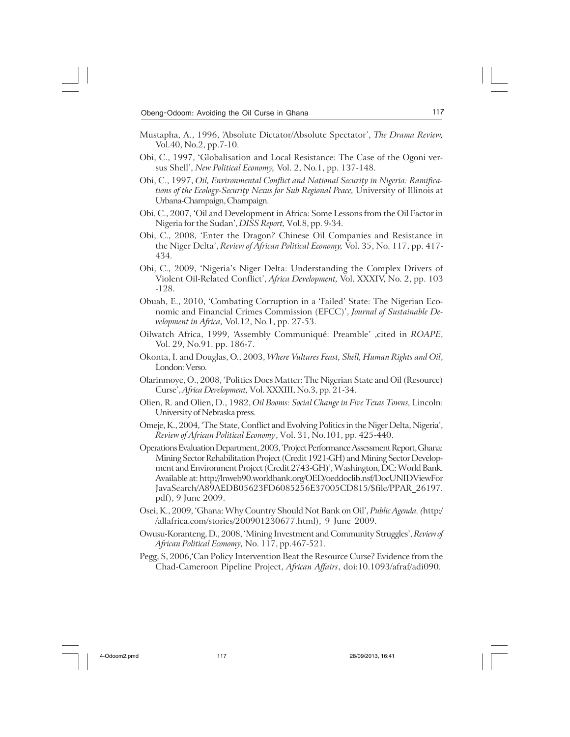- Mustapha, A., 1996, 'Absolute Dictator/Absolute Spectator', *The Drama Review,* Vol.40, No.2, pp.7-10.
- Obi, C., 1997, 'Globalisation and Local Resistance: The Case of the Ogoni versus Shell', *New Political Economy,* Vol. 2, No.1, pp. 137-148.
- Obi, C., 1997, *Oil, Environmental Conflict and National Security in Nigeria: Ramifications of the Ecology-Security Nexus for Sub Regional Peace,* University of Illinois at Urbana-Champaign, Champaign.
- Obi, C., 2007, 'Oil and Development in Africa: Some Lessons from the Oil Factor in Nigeria for the Sudan', *DISS Report,* Vol.8, pp. 9-34.
- Obi, C., 2008, 'Enter the Dragon? Chinese Oil Companies and Resistance in the Niger Delta', *Review of African Political Economy,* Vol. 35, No. 117, pp. 417- 434.
- Obi, C., 2009, 'Nigeria's Niger Delta: Understanding the Complex Drivers of Violent Oil-Related Conflict', *Africa Development,* Vol. XXXIV, No. 2, pp. 103 -128.
- Obuah, E., 2010, 'Combating Corruption in a 'Failed' State: The Nigerian Economic and Financial Crimes Commission (EFCC)', *Journal of Sustainable Development in Africa,* Vol.12, No.1, pp. 27-53.
- Oilwatch Africa, 1999, 'Assembly Communiqué: Preamble' ,cited in *ROAPE*, Vol. 29, No.91. pp. 186-7.
- Okonta, I. and Douglas, O., 2003, *Where Vultures Feast, Shell, Human Rights and Oil*, London: Verso.
- Olarinmoye, O., 2008, 'Politics Does Matter: The Nigerian State and Oil (Resource) Curse', *Africa Development,* Vol. XXXIII, No.3, pp. 21-34.
- Olien, R. and Olien, D., 1982, *Oil Booms: Social Change in Five Texas Towns,* Lincoln: University of Nebraska press.
- Omeje, K., 2004, 'The State, Conflict and Evolving Politics in the Niger Delta, Nigeria', *Review of African Political Economy*, Vol. 31, No.101, pp. 425-440.
- Operations Evaluation Department, 2003, 'Project Performance Assessment Report, Ghana: Mining Sector Rehabilitation Project (Credit 1921-GH) and Mining Sector Development and Environment Project (Credit 2743-GH)', Washington, DC: World Bank. Available at: http://lnweb90.worldbank.org/OED/oeddoclib.nsf/DocUNIDViewFor JavaSearch/A89AEDB05623FD6085256E37005CD815/\$file/PPAR\_26197. pdf), 9 June 2009.
- Osei, K., 2009, 'Ghana: Why Country Should Not Bank on Oil', *Public Agenda. (*http:/ /allafrica.com/stories/200901230677.html), 9 June 2009.
- Owusu-Koranteng, D., 2008, 'Mining Investment and Community Struggles', *Review of African Political Economy,* No. 117, pp.467-521.
- Pegg, S, 2006,'Can Policy Intervention Beat the Resource Curse? Evidence from the Chad-Cameroon Pipeline Project, *African Affairs*, doi:10.1093/afraf/adi090.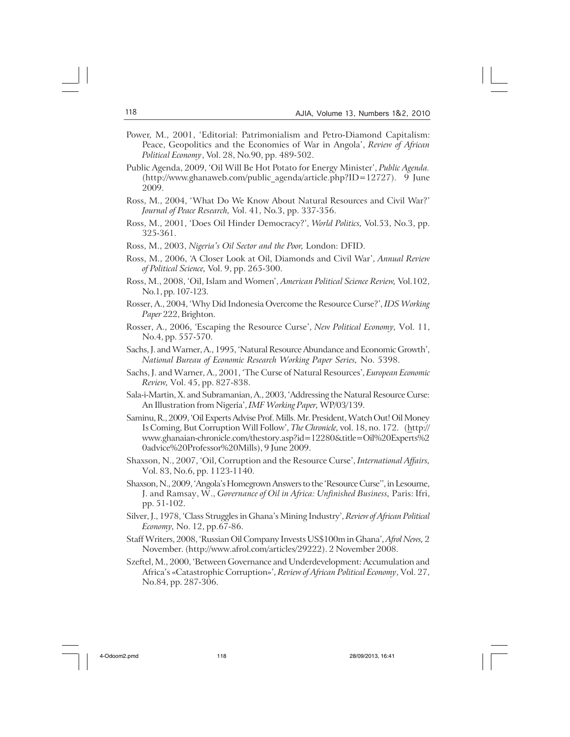- Power, M., 2001, 'Editorial: Patrimonialism and Petro-Diamond Capitalism: Peace, Geopolitics and the Economies of War in Angola', *Review of African Political Economy*, Vol. 28, No.90, pp. 489-502.
- Public Agenda, 2009, 'Oil Will Be Hot Potato for Energy Minister', *Public Agenda.* (http://www.ghanaweb.com/public\_agenda/article.php?ID=12727). 9 June 2009.
- Ross, M., 2004, 'What Do We Know About Natural Resources and Civil War?' *Journal of Peace Research,* Vol. 41, No.3, pp. 337-356.
- Ross, M., 2001, 'Does Oil Hinder Democracy?', *World Politics,* Vol.53, No.3, pp. 325-361.
- Ross, M., 2003, *Nigeria's Oil Sector and the Poor,* London: DFID.
- Ross, M., 2006, 'A Closer Look at Oil, Diamonds and Civil War', *Annual Review of Political Science,* Vol. 9, pp. 265-300.
- Ross, M., 2008, 'Oil, Islam and Women', *American Political Science Review,* Vol.102, No.1, pp. 107-123.
- Rosser, A., 2004, 'Why Did Indonesia Overcome the Resource Curse?', *IDS Working Paper* 222, Brighton.
- Rosser, A., 2006, 'Escaping the Resource Curse', *New Political Economy,* Vol. 11, No.4, pp. 557-570.
- Sachs, J. and Warner, A., 1995, 'Natural Resource Abundance and Economic Growth', *National Bureau of Economic Research Working Paper Series,* No. 5398.
- Sachs, J. and Warner, A., 2001, 'The Curse of Natural Resources', *European Economic Review,* Vol. 45, pp. 827-838.
- Sala-i-Martin, X. and Subramanian, A., 2003, 'Addressing the Natural Resource Curse: An Illustration from Nigeria', *IMF Working Paper,* WP/03/139.
- Saminu, R., 2009, 'Oil Experts Advise Prof. Mills. Mr. President, Watch Out! Oil Money Is Coming, But Corruption Will Follow', *The Chronicle,* vol. 18, no. 172. (http:// www.ghanaian-chronicle.com/thestory.asp?id=12280&title=Oil%20Experts%2 0advice%20Professor%20Mills), 9 June 2009.
- Shaxson, N., 2007, 'Oil, Corruption and the Resource Curse', *International Affairs,* Vol. 83, No.6, pp. 1123-1140.
- Shaxson, N., 2009, 'Angola's Homegrown Answers to the 'Resource Curse'', in Lesourne, J. and Ramsay, W., *Governance of Oil in Africa: Unfinished Business,* Paris: Ifri, pp. 51-102.
- Silver, J., 1978, 'Class Struggles in Ghana's Mining Industry', *Review of African Political Economy,* No. 12, pp.67-86.
- Staff Writers, 2008, 'Russian Oil Company Invests US\$100m in Ghana', *Afrol News,* 2 November. (http://www.afrol.com/articles/29222). 2 November 2008.
- Szeftel, M., 2000, 'Between Governance and Underdevelopment: Accumulation and Africa's «Catastrophic Corruption»', *Review of African Political Economy*, Vol. 27, No.84, pp. 287-306.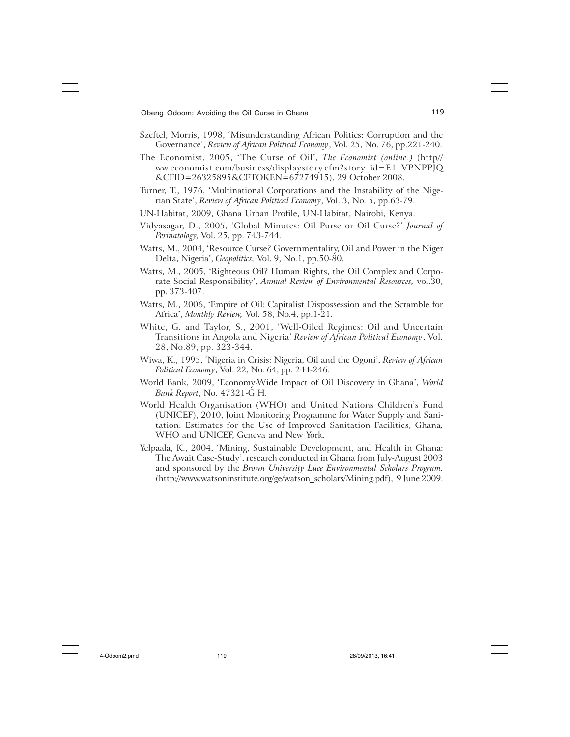- Szeftel, Morris, 1998, 'Misunderstanding African Politics: Corruption and the Governance', *Review of African Political Economy*, Vol. 25, No. 76, pp.221-240.
- The Economist, 2005, 'The Curse of Oil', *The Economist (online.)* (http// ww.economist.com/business/displaystory.cfm?story\_id=E1\_VPNPPJQ &CFID=26325895&CFTOKEN=67274915), 29 October 2008.
- Turner, T., 1976, 'Multinational Corporations and the Instability of the Nigerian State', *Review of African Political Economy*, Vol. 3, No. 5, pp.63-79.
- UN-Habitat, 2009, Ghana Urban Profile, UN-Habitat, Nairobi, Kenya.
- Vidyasagar, D., 2005, 'Global Minutes: Oil Purse or Oil Curse?' *Journal of Perinatology,* Vol. 25, pp. 743-744.
- Watts, M., 2004, 'Resource Curse? Governmentality, Oil and Power in the Niger Delta, Nigeria', *Geopolitics,* Vol. 9, No.1, pp.50-80.
- Watts, M., 2005, 'Righteous Oil? Human Rights, the Oil Complex and Corporate Social Responsibility', *Annual Review of Environmental Resources,* vol.30, pp. 373-407.
- Watts, M., 2006, 'Empire of Oil: Capitalist Dispossession and the Scramble for Africa', *Monthly Review,* Vol. 58, No.4, pp.1-21.
- White, G. and Taylor, S., 2001, 'Well-Oiled Regimes: Oil and Uncertain Transitions in Angola and Nigeria' *Review of African Political Economy*, Vol. 28, No.89, pp. 323-344.
- Wiwa, K., 1995, 'Nigeria in Crisis: Nigeria, Oil and the Ogoni', *Review of African Political Economy*, Vol. 22, No. 64, pp. 244-246.
- World Bank, 2009, 'Economy-Wide Impact of Oil Discovery in Ghana', *World Bank Report*, No. 47321-G H.
- World Health Organisation (WHO) and United Nations Children's Fund (UNICEF), 2010, Joint Monitoring Programme for Water Supply and Sanitation: Estimates for the Use of Improved Sanitation Facilities, Ghana*,* WHO and UNICEF, Geneva and New York.
- Yelpaala, K., 2004, 'Mining, Sustainable Development, and Health in Ghana: The Await Case-Study', research conducted in Ghana from July-August 2003 and sponsored by the *Brown University Luce Environmental Scholars Program.* (http://www.watsoninstitute.org/ge/watson\_scholars/Mining.pdf), 9 June 2009.